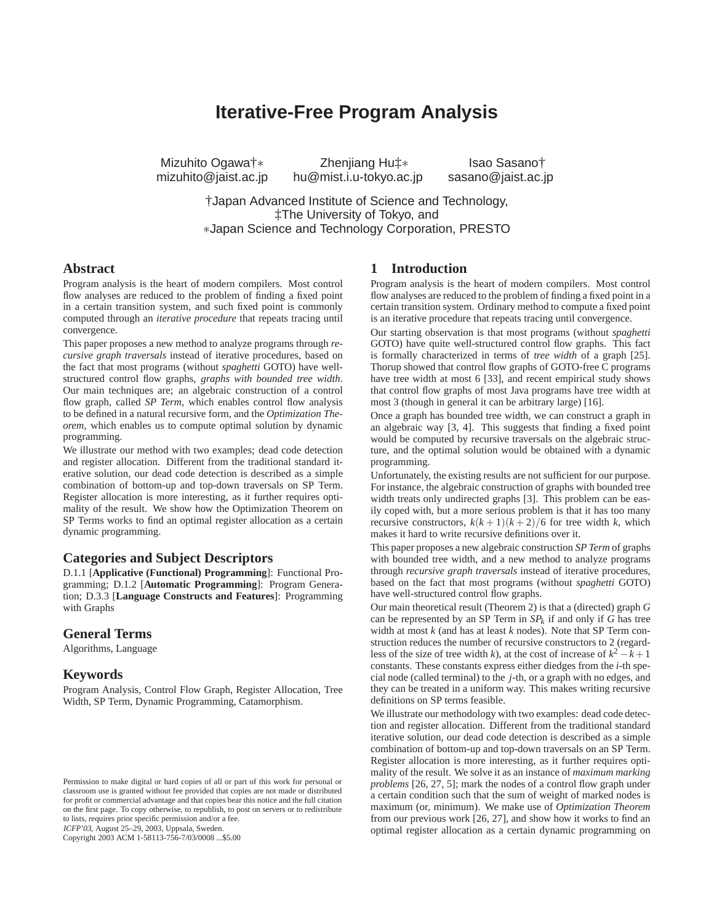# **Iterative-Free Program Analysis**

Mizuhito Ogawa†∗ Zhenjiang Hu‡∗ Isao Sasano†<br>mizuhito@jaist.ac.jp hu@mist.i.u-tokyo.ac.jp sasano@jaist.ac.jp hu@mist.i.u-tokyo.ac.jp

†Japan Advanced Institute of Science and Technology, ‡The University of Tokyo, and ∗Japan Science and Technology Corporation, PRESTO

## **Abstract**

Program analysis is the heart of modern compilers. Most control flow analyses are reduced to the problem of finding a fixed point in a certain transition system, and such fixed point is commonly computed through an *iterative procedure* that repeats tracing until convergence.

This paper proposes a new method to analyze programs through *recursive graph traversals* instead of iterative procedures, based on the fact that most programs (without *spaghetti* GOTO) have wellstructured control flow graphs, *graphs with bounded tree width*. Our main techniques are; an algebraic construction of a control flow graph, called *SP Term*, which enables control flow analysis to be defined in a natural recursive form, and the *Optimization Theorem*, which enables us to compute optimal solution by dynamic programming.

We illustrate our method with two examples; dead code detection and register allocation. Different from the traditional standard iterative solution, our dead code detection is described as a simple combination of bottom-up and top-down traversals on SP Term. Register allocation is more interesting, as it further requires optimality of the result. We show how the Optimization Theorem on SP Terms works to find an optimal register allocation as a certain dynamic programming.

# **Categories and Subject Descriptors**

D.1.1 [**Applicative (Functional) Programming**]: Functional Programming; D.1.2 [**Automatic Programming**]: Program Generation; D.3.3 [**Language Constructs and Features**]: Programming with Graphs

#### **General Terms**

Algorithms, Language

#### **Keywords**

Program Analysis, Control Flow Graph, Register Allocation, Tree Width, SP Term, Dynamic Programming, Catamorphism.

ICFP'03, August 25–29, 2003, Uppsala, Sweden.

Copyright 2003 ACM 1-58113-756-7/03/0008 ...\$5.00

## **1 Introduction**

Program analysis is the heart of modern compilers. Most control flow analyses are reduced to the problem of finding a fixed point in a certain transition system. Ordinary method to compute a fixed point is an iterative procedure that repeats tracing until convergence.

Our starting observation is that most programs (without *spaghetti* GOTO) have quite well-structured control flow graphs. This fact is formally characterized in terms of *tree width* of a graph [25]. Thorup showed that control flow graphs of GOTO-free C programs have tree width at most 6 [33], and recent empirical study shows that control flow graphs of most Java programs have tree width at most 3 (though in general it can be arbitrary large) [16].

Once a graph has bounded tree width, we can construct a graph in an algebraic way [3, 4]. This suggests that finding a fixed point would be computed by recursive traversals on the algebraic structure, and the optimal solution would be obtained with a dynamic programming.

Unfortunately, the existing results are not sufficient for our purpose. For instance, the algebraic construction of graphs with bounded tree width treats only undirected graphs [3]. This problem can be easily coped with, but a more serious problem is that it has too many recursive constructors,  $k(k+1)(k+2)/6$  for tree width *k*, which makes it hard to write recursive definitions over it.

This paper proposes a new algebraic construction *SP Term* of graphs with bounded tree width, and a new method to analyze programs through *recursive graph traversals* instead of iterative procedures, based on the fact that most programs (without *spaghetti* GOTO) have well-structured control flow graphs.

Our main theoretical result (Theorem 2) is that a (directed) graph *G* can be represented by an SP Term in  $SP_k$  if and only if *G* has tree width at most *k* (and has at least *k* nodes). Note that SP Term construction reduces the number of recursive constructors to 2 (regardless of the size of tree width *k*), at the cost of increase of  $k^2 - k + 1$ constants. These constants express either diedges from the *i*-th special node (called terminal) to the *j*-th, or a graph with no edges, and they can be treated in a uniform way. This makes writing recursive definitions on SP terms feasible.

We illustrate our methodology with two examples: dead code detection and register allocation. Different from the traditional standard iterative solution, our dead code detection is described as a simple combination of bottom-up and top-down traversals on an SP Term. Register allocation is more interesting, as it further requires optimality of the result. We solve it as an instance of *maximum marking problems* [26, 27, 5]; mark the nodes of a control flow graph under a certain condition such that the sum of weight of marked nodes is maximum (or, minimum). We make use of *Optimization Theorem* from our previous work [26, 27], and show how it works to find an optimal register allocation as a certain dynamic programming on

Permission to make digital or hard copies of all or part of this work for personal or classroom use is granted without fee provided that copies are not made or distributed for profit or commercial advantage and that copies bear this notice and the full citation on the first page. To copy otherwise, to republish, to post on servers or to redistribute to lists, requires prior specific permission and/or a fee.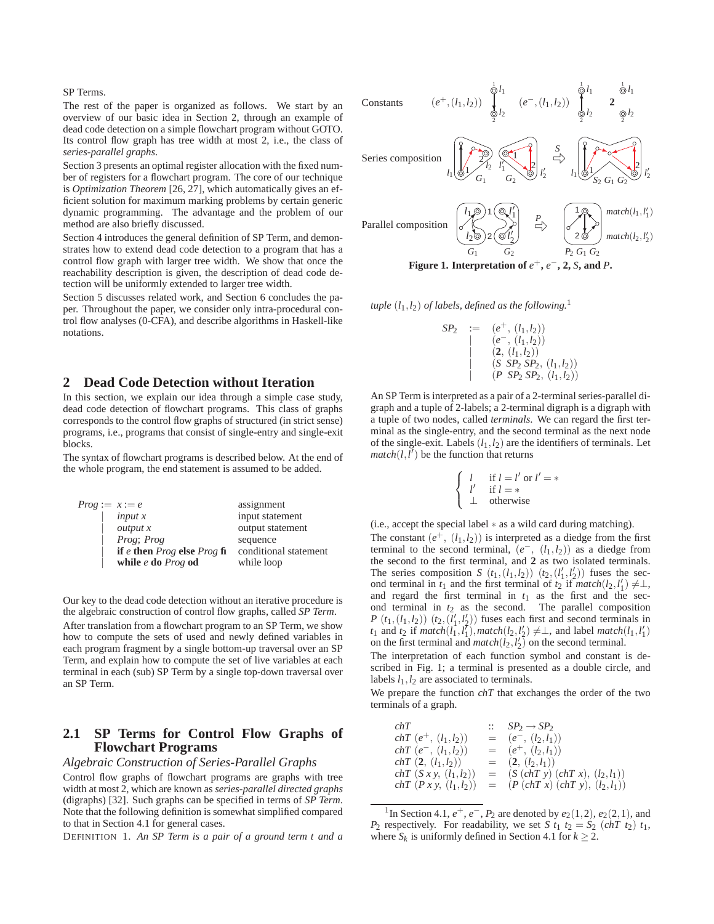SP Terms.

The rest of the paper is organized as follows. We start by an overview of our basic idea in Section 2, through an example of dead code detection on a simple flowchart program without GOTO. Its control flow graph has tree width at most 2, i.e., the class of *series-parallel graphs*.

Section 3 presents an optimal register allocation with the fixed number of registers for a flowchart program. The core of our technique is *Optimization Theorem* [26, 27], which automatically gives an efficient solution for maximum marking problems by certain generic dynamic programming. The advantage and the problem of our method are also briefly discussed.

Section 4 introduces the general definition of SP Term, and demonstrates how to extend dead code detection to a program that has a control flow graph with larger tree width. We show that once the reachability description is given, the description of dead code detection will be uniformly extended to larger tree width.

Section 5 discusses related work, and Section 6 concludes the paper. Throughout the paper, we consider only intra-procedural control flow analyses (0-CFA), and describe algorithms in Haskell-like notations.

## **2 Dead Code Detection without Iteration**

In this section, we explain our idea through a simple case study, dead code detection of flowchart programs. This class of graphs corresponds to the control flow graphs of structured (in strict sense) programs, i.e., programs that consist of single-entry and single-exit blocks.

The syntax of flowchart programs is described below. At the end of the whole program, the end statement is assumed to be added.

| $Prog := x := e$ |                                 | assignment            |
|------------------|---------------------------------|-----------------------|
|                  | input x                         | input statement       |
|                  | output x                        | output statement      |
|                  | Prog: Prog                      | sequence              |
|                  | if e then $Prog$ else $Prog$ fi | conditional statement |
|                  | while $e$ do $Prog$ od          | while loop            |

Our key to the dead code detection without an iterative procedure is the algebraic construction of control flow graphs, called *SP Term*. After translation from a flowchart program to an SP Term, we show how to compute the sets of used and newly defined variables in each program fragment by a single bottom-up traversal over an SP

Term, and explain how to compute the set of live variables at each terminal in each (sub) SP Term by a single top-down traversal over an SP Term.

## **2.1 SP Terms for Control Flow Graphs of Flowchart Programs**

## *Algebraic Construction of Series-Parallel Graphs*

Control flow graphs of flowchart programs are graphs with tree width at most 2, which are known as *series-parallel directed graphs* (digraphs) [32]. Such graphs can be specified in terms of *SP Term*. Note that the following definition is somewhat simplified compared to that in Section 4.1 for general cases.

DEFINITION 1. *An SP Term is a pair of a ground term t and a*





$$
SP_2 := (e^+, (l_1, l_2))
$$
  
\n
$$
= (e^-, (l_1, l_2))
$$
  
\n
$$
= (2, (l_1, l_2))
$$
  
\n
$$
= (S \text{ } SP_2 \text{ } SP_2, (l_1, l_2))
$$
  
\n
$$
= (P \text{ } SP_2 \text{ } SP_2, (l_1, l_2))
$$

An SP Term is interpreted as a pair of a 2-terminal series-parallel digraph and a tuple of 2-labels; a 2-terminal digraph is a digraph with a tuple of two nodes, called *terminals*. We can regard the first terminal as the single-entry, and the second terminal as the next node of the single-exit. Labels  $(l_1, l_2)$  are the identifiers of terminals. Let  $match(l, l')$  be the function that returns

$$
\begin{cases}\n l & \text{if } l = l' \text{ or } l' = *
$$
\n  
\n
$$
\begin{cases}\n l' & \text{if } l = *
$$
\n  
\n
$$
\perp \quad \text{otherwise}\n\end{cases}
$$

(i.e., accept the special label ∗ as a wild card during matching). The constant  $(e^+, (l_1, l_2))$  is interpreted as a diedge from the first terminal to the second terminal,  $(e^-, (l_1, l_2))$  as a diedge from the second to the first terminal, and **2** as two isolated terminals. The series composition *S*  $(t_1, (l_1, l_2))$   $(t_2, (l'_1, l'_2))$  fuses the second terminal in  $t_1$  and the first terminal of  $t_2$  if  $match(l_2, l'_1) \neq \perp$ , and regard the first terminal in  $t_1$  as the first and the second terminal in *t*<sup>2</sup> as the second. The parallel composition *P*  $(t_1, (l_1, l_2))$   $(t_2, (l'_1, l'_2))$  fuses each first and second terminals in  $t_1$  and  $t_2$  if  $match(l_1, l_1')$ ,  $match(l_2, l_2') \neq \perp$ , and label  $match(l_1, l_1')$ 

on the first terminal and *match*( $l_2$ , $l'_2$ ) on the second terminal. The interpretation of each function symbol and constant is described in Fig. 1; a terminal is presented as a double circle, and labels  $l_1$ ,  $l_2$  are associated to terminals.

We prepare the function *chT* that exchanges the order of the two terminals of a graph.

| chT                              | $SP_2 \rightarrow SP_2$               |
|----------------------------------|---------------------------------------|
| $chT(e^+, (l_1, l_2))$           | $=$ $(e^-, (l_2, l_1))$               |
| $chT(e^-, (l_1, l_2))$           | $=$ $(e^+, (l_2, l_1))$               |
| $chT(2, (l_1, l_2))$             | $=$ $(2, (l_2, l_1))$                 |
| <i>chT</i> $(Sxy, (l_1, l_2))$   | $=$ $(S (chT y) (chT x), (l_2, l_1))$ |
| <i>chT</i> $(P x y, (l_1, l_2))$ | $= (P (chT x) (chT y), (l_2, l_1))$   |

<sup>&</sup>lt;sup>1</sup>In Section 4.1,  $e^+, e^-, P_2$  are denoted by  $e_2(1, 2), e_2(2, 1)$ , and *P*<sub>2</sub> respectively. For readability, we set *S*  $t_1$   $t_2 = S_2$  (*chT*  $t_2$ )  $t_1$ , where  $S_k$  is uniformly defined in Section 4.1 for  $k \geq 2$ .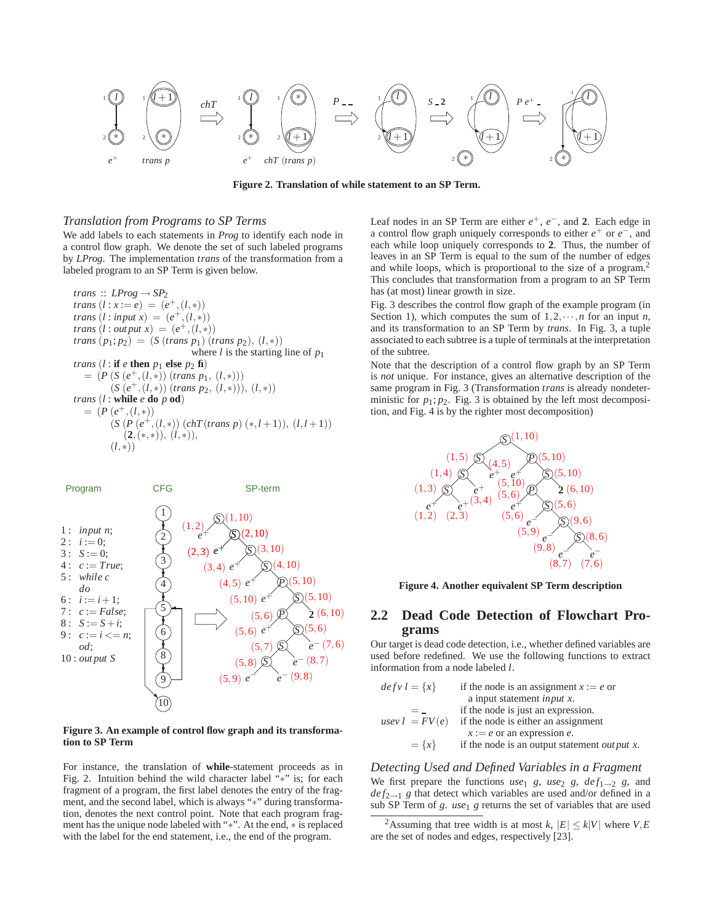

**Figure 2. Translation of while statement to an SP Term.**

#### *Translation from Programs to SP Terms*

We add labels to each statements in *Prog* to identify each node in a control flow graph. We denote the set of such labeled programs by *LProg*. The implementation *trans* of the transformation from a labeled program to an SP Term is given below.

*trans*  $\therefore$  *LProg*  $\rightarrow$  *SP*<sub>2</sub> *trans*  $(l : x := e) = (e^+, (l, *))$ *trans*  $(l : input x) = (e^+, (l, *))$ *trans*  $(l : out put x) = (e^+, (l, *))$ *trans*  $(p_1; p_2) = (S \text{ (trans } p_1) \text{ (trans } p_2), (l, *))$ where *l* is the starting line of  $p_1$ *trans*  $(l : \mathbf{if} \ e \mathbf{then} \ p_1 \mathbf{else} \ p_2 \mathbf{fi})$  $= (P(S(e^+, (l,*)) (trans p_1, (l,*)))$ (*S* (*e*+*,*(*l,*∗)) (*trans p*2*,* (*l,*∗)))*,* (*l,*∗)) *trans* (*l* : **while** *e* **do** *p* **od**)  $= (P(e^+, (l,*)))$  $(S (P (e^+, (l,*)) (chT(trans p) (*, l+1)), (l, l+1))$ (**2***,*(∗*,*∗))*,* (*l,*∗))*,* (*l,*∗))



#### **Figure 3. An example of control flow graph and its transformation to SP Term**

For instance, the translation of **while**-statement proceeds as in Fig. 2. Intuition behind the wild character label "∗" is; for each fragment of a program, the first label denotes the entry of the fragment, and the second label, which is always "\*" during transformation, denotes the next control point. Note that each program fragment has the unique node labeled with "∗". At the end, ∗ is replaced with the label for the end statement, i.e., the end of the program.

Leaf nodes in an SP Term are either *e*+, *e*−, and **2**. Each edge in a control flow graph uniquely corresponds to either *e*<sup>+</sup> or *e*−, and each while loop uniquely corresponds to **2**. Thus, the number of leaves in an SP Term is equal to the sum of the number of edges and while loops, which is proportional to the size of a program.<sup>2</sup> This concludes that transformation from a program to an SP Term has (at most) linear growth in size.

Fig. 3 describes the control flow graph of the example program (in Section 1), which computes the sum of  $1, 2, \dots, n$  for an input *n*, and its transformation to an SP Term by *trans*. In Fig. 3, a tuple associated to each subtree is a tuple of terminals at the interpretation of the subtree.

Note that the description of a control flow graph by an SP Term is *not* unique. For instance, gives an alternative description of the same program in Fig. 3 (Transformation *trans* is already nondeterministic for  $p_1$ ;  $p_2$ . Fig. 3 is obtained by the left most decomposition, and Fig. 4 is by the righter most decomposition)



**Figure 4. Another equivalent SP Term description**

# **2.2 Dead Code Detection of Flowchart Programs**

Our target is dead code detection, i.e., whether defined variables are used before redefined. We use the following functions to extract information from a node labeled *l*.

| $defv l = \{x\}$ | if the node is an assignment $x := e$ or              |
|------------------|-------------------------------------------------------|
|                  | a input statement <i>input x</i> .                    |
|                  | if the node is just an expression.                    |
| usev $l = FV(e)$ | if the node is either an assignment                   |
|                  | $x := e$ or an expression e.                          |
| $= \{x\}$        | if the node is an output statement <i>out put x</i> . |

# *Detecting Used and Defined Variables in a Fragment* We first prepare the functions  $use_1$  *g*,  $use_2$  *g*,  $def_{1\rightarrow 2}$  *g*, and  $def_{2\rightarrow 1}$  *g* that detect which variables are used and/or defined in a sub SP Term of *g*. *use*<sub>1</sub> *g* returns the set of variables that are used

<sup>&</sup>lt;sup>2</sup>Assuming that tree width is at most *k*,  $|E| \le k|V|$  where *V*, *E* are the set of nodes and edges, respectively [23].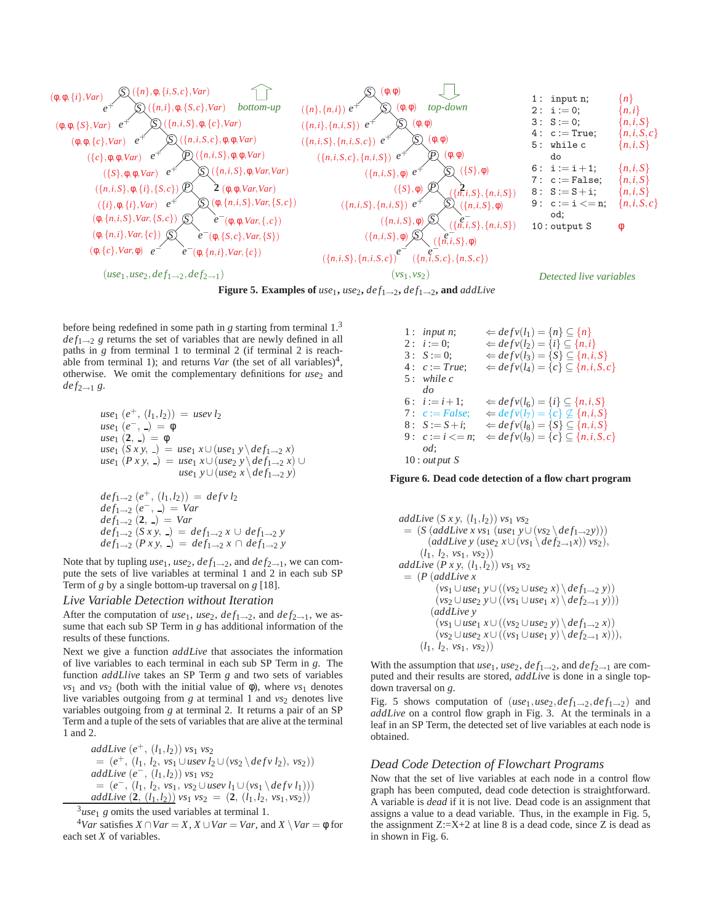

**Figure 5. Examples of**  $use_1$ ,  $use_2$ ,  $def_{1\rightarrow 2}$ ,  $def_{1\rightarrow 2}$ , and  $addLive$ 

before being redefined in some path in *g* starting from terminal 1.3  $def_{1\rightarrow 2}$  *g* returns the set of variables that are newly defined in all paths in *g* from terminal 1 to terminal 2 (if terminal 2 is reachable from terminal 1); and returns *Var* (the set of all variables)<sup>4</sup>, otherwise. We omit the complementary definitions for *use*<sub>2</sub> and  $def_{2\rightarrow 1} g.$ 

$$
use_1 (e^+, (l_1, l_2)) = use_1 l_2
$$
  
\n
$$
use_1 (e^-, -) = \phi
$$
  
\n
$$
use_1 (2, -) = \phi
$$
  
\n
$$
use_1 (Sxy, -) = use_1 x \cup (use_1 y \setminus def_{1\rightarrow 2} x)
$$
  
\n
$$
use_1 (Pxy, -) = use_1 x \cup (use_2 y \setminus def_{1\rightarrow 2} x) \cup
$$
  
\n
$$
use_1 y \cup (use_2 x \setminus def_{1\rightarrow 2} y)
$$

$$
def_{1\to 2}(e^+, (l_1, l_2)) = def_{v} l_2
$$
  
\n
$$
def_{1\to 2}(e^-, \_) = Var
$$
  
\n
$$
def_{1\to 2}(2, \_) = Var
$$
  
\n
$$
def_{1\to 2}(Sxy, \_) = def_{1\to 2} x \cup def_{1\to 2} y
$$
  
\n
$$
def_{1\to 2}(Pxy, \_) = def_{1\to 2} x \cap def_{1\to 2} y
$$

Note that by tupling  $use_1, use_2, def_{1\rightarrow 2}$ , and  $def_{2\rightarrow 1}$ , we can compute the sets of live variables at terminal 1 and 2 in each sub SP Term of *g* by a single bottom-up traversal on *g* [18].

#### *Live Variable Detection without Iteration*

After the computation of *use*<sub>1</sub>, *use*<sub>2</sub>, *def*<sub>1→2</sub>, and *def*<sub>2→1</sub>, we assume that each sub SP Term in *g* has additional information of the results of these functions.

Next we give a function *addLive* that associates the information of live variables to each terminal in each sub SP Term in *g*. The function *addLlive* takes an SP Term *g* and two sets of variables *vs*<sub>1</sub> and *vs*<sub>2</sub> (both with the initial value of  $\phi$ ), where *vs*<sub>1</sub> denotes live variables outgoing from *g* at terminal 1 and *vs*<sub>2</sub> denotes live variables outgoing from *g* at terminal 2. It returns a pair of an SP Term and a tuple of the sets of variables that are alive at the terminal 1 and 2.

addLive 
$$
(e^+, (l_1, l_2))
$$
 vs<sub>1</sub> vs<sub>2</sub>  
\n=  $(e^+, (l_1, l_2, vs_1 \cup use v l_2 \cup (vs_2 \setminus def v l_2), vs_2))$   
\naddLive  $(e^-, (l_1, l_2))$  vs<sub>1</sub> vs<sub>2</sub>  
\n=  $(e^-, (l_1, l_2, vs_1, vs_2 \cup use v l_1 \cup (vs_1 \setminus def v l_1)))$   
\naddLive  $(2, (l_1, l_2))$  vs<sub>1</sub> vs<sub>2</sub> =  $(2, (l_1, l_2, vs_1, vs_2))$ 

 $3u$ se<sub>1</sub> g omits the used variables at terminal 1.

<sup>4</sup>*Var* satisfies *X* ∩*Var* = *X*, *X* ∪*Var* = *Var*, and *X* \*Var* = φ for each set *X* of variables.

1: input n; 
$$
\Leftrightarrow \deg f \circ (l_1) = \{n\} \subseteq \{n\}
$$
\n2:  $i := 0$ ;  $\Leftrightarrow \deg f \circ (l_2) = \{i\} \subseteq \{n, i\}$ \n3:  $S := 0$ ;  $\Leftrightarrow \deg f \circ (l_3) = \{S\} \subseteq \{n, i, S\}$ \n4:  $c := True$ ;  $\Leftrightarrow \deg f \circ (l_4) = \{c\} \subseteq \{n, i, S, c\}$ \n5: while c\n6:  $i := i + 1$ ;  $\Leftrightarrow \deg f \circ (l_6) = \{i\} \subseteq \{n, i, S\}$ \n7:  $c := False$ ;  $\Leftrightarrow \deg f \circ (l_7) = \{c\} \subseteq \{n, i, S\}$ \n8:  $S := S + i$ ;  $\Leftrightarrow \deg f \circ (l_8) = \{S\} \subseteq \{n, i, S\}$ \n9:  $c := i \ll = n$ ;  $\Leftrightarrow \deg f \circ (l_9) = \{c\} \subseteq \{n, i, S, c\}$ \n0d; 10: output S

**Figure 6. Dead code detection of a flow chart program**

*addLive* (*Sxy,* (*l*1*,l*2)) *vs*<sup>1</sup> *vs*<sup>2</sup> = (*S* (*addLive x vs*<sup>1</sup> (*use*<sup>1</sup> *y*∪(*vs*<sup>2</sup> \ *def*1→2*y*))) (*addLive y* (*use*<sup>2</sup> *x*∪(*vs*<sup>1</sup> \ *def*2→1*x*)) *vs*2)*,* (*l*1*, l*2*, vs*1*, vs*2)) *addLive* (*Pxy,* (*l*1*,l*2)) *vs*<sup>1</sup> *vs*<sup>2</sup> = (*P* (*addLive x* (*vs*<sup>1</sup> ∪*use*<sup>1</sup> *y*∪((*vs*<sup>2</sup> ∪*use*<sup>2</sup> *x*) \ *def*1→<sup>2</sup> *y*)) (*vs*<sup>2</sup> ∪*use*<sup>2</sup> *y*∪((*vs*<sup>1</sup> ∪*use*<sup>1</sup> *x*) \ *def*2→<sup>1</sup> *y*))) (*addLive y* (*vs*<sup>1</sup> ∪*use*<sup>1</sup> *x*∪((*vs*<sup>2</sup> ∪*use*<sup>2</sup> *y*) \ *def*1→<sup>2</sup> *x*)) (*vs*<sup>2</sup> ∪*use*<sup>2</sup> *x*∪((*vs*<sup>1</sup> ∪*use*<sup>1</sup> *y*) \ *def*2→<sup>1</sup> *x*)))*,* (*l*1*, l*2*, vs*1*, vs*2))

With the assumption that  $use_1, use_2, def_{1\rightarrow 2}$ , and  $def_{2\rightarrow 1}$  are computed and their results are stored, *addLive* is done in a single topdown traversal on *g*.

Fig. 5 shows computation of  $(use_1, use_2, def_{1\rightarrow 2}, def_{1\rightarrow 2})$  and *addLive* on a control flow graph in Fig. 3. At the terminals in a leaf in an SP Term, the detected set of live variables at each node is obtained.

## *Dead Code Detection of Flowchart Programs*

Now that the set of live variables at each node in a control flow graph has been computed, dead code detection is straightforward. A variable is *dead* if it is not live. Dead code is an assignment that assigns a value to a dead variable. Thus, in the example in Fig. 5, the assignment  $Z:=X+2$  at line 8 is a dead code, since Z is dead as in shown in Fig. 6.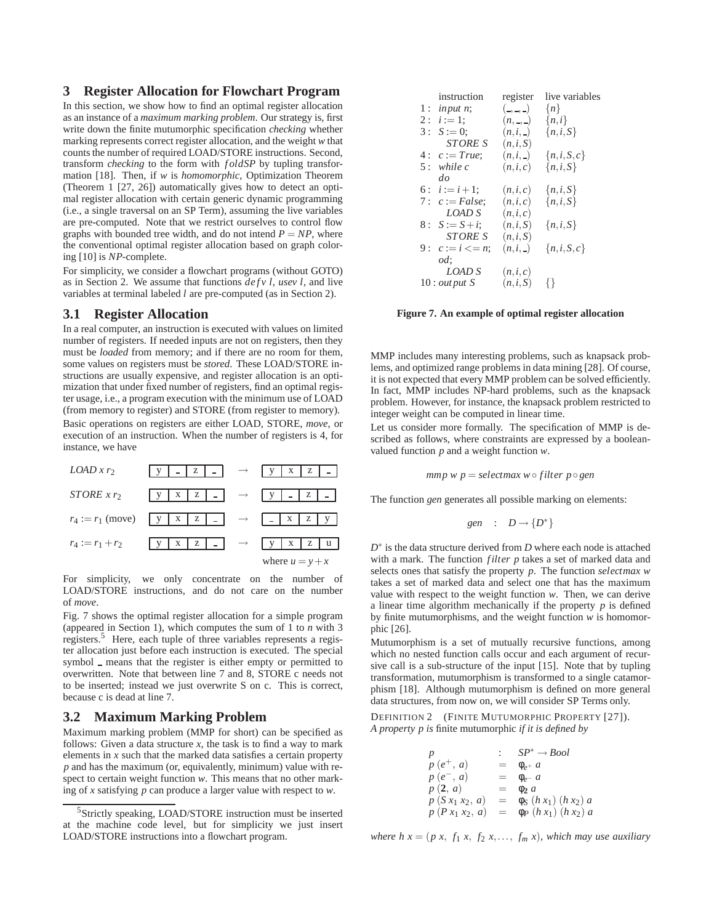## **3 Register Allocation for Flowchart Program**

In this section, we show how to find an optimal register allocation as an instance of a *maximum marking problem*. Our strategy is, first write down the finite mutumorphic specification *checking* whether marking represents correct register allocation, and the weight *w* that counts the number of required LOAD/STORE instructions. Second, transform *checking* to the form with *f oldSP* by tupling transformation [18]. Then, if *w* is *homomorphic*, Optimization Theorem (Theorem 1 [27, 26]) automatically gives how to detect an optimal register allocation with certain generic dynamic programming (i.e., a single traversal on an SP Term), assuming the live variables are pre-computed. Note that we restrict ourselves to control flow graphs with bounded tree width, and do not intend  $P = NP$ , where the conventional optimal register allocation based on graph coloring [10] is *NP*-complete.

For simplicity, we consider a flowchart programs (without GOTO) as in Section 2. We assume that functions *defv l*, *usev l*, and live variables at terminal labeled *l* are pre-computed (as in Section 2).

# **3.1 Register Allocation**

In a real computer, an instruction is executed with values on limited number of registers. If needed inputs are not on registers, then they must be *loaded* from memory; and if there are no room for them, some values on registers must be *stored*. These LOAD/STORE instructions are usually expensive, and register allocation is an optimization that under fixed number of registers, find an optimal register usage, i.e., a program execution with the minimum use of LOAD (from memory to register) and STORE (from register to memory). Basic operations on registers are either LOAD, STORE, *move*, or execution of an instruction. When the number of registers is 4, for instance, we have



For simplicity, we only concentrate on the number of LOAD/STORE instructions, and do not care on the number of *move*.

Fig. 7 shows the optimal register allocation for a simple program (appeared in Section 1), which computes the sum of 1 to *n* with 3 registers.<sup>5</sup> Here, each tuple of three variables represents a register allocation just before each instruction is executed. The special symbol – means that the register is either empty or permitted to overwritten. Note that between line 7 and 8, STORE c needs not to be inserted; instead we just overwrite S on c. This is correct, because c is dead at line 7.

## **3.2 Maximum Marking Problem**

Maximum marking problem (MMP for short) can be specified as follows: Given a data structure  $x$ , the task is to find a way to mark elements in *x* such that the marked data satisfies a certain property *p* and has the maximum (or, equivalently, minimum) value with respect to certain weight function *w*. This means that no other marking of *x* satisfying *p* can produce a larger value with respect to *w*.

| instruction             | register         | live variables |
|-------------------------|------------------|----------------|
| $1:$ input n;           | $($ , )          | $\{n\}$        |
| $2: i := 1:$            | $(n, \, \_ \, )$ | $\{n,i\}$      |
| $3: S := 0$ ;           | $(n,i,-)$        | ${n,i,S}$      |
| <b>STORE S</b>          | (n,i,S)          |                |
| $4: c := True;$         | (n,i, )          | ${n,i,S,c}$    |
| $5:$ while c            | (n,i,c)          | ${n,i,S}$      |
| do                      |                  |                |
| 6: $i := i + 1$ :       | (n,i,c)          | ${n,i,S}$      |
| 7: $c := False$ ;       | (n,i,c)          | ${n,i,S}$      |
| LOAD S                  | (n,i,c)          |                |
| $8: S := S + i$ ;       | (n,i,S)          | ${n,i,S}$      |
| <i>STORE S</i>          | (n,i,S)          |                |
| 9: $c := i \leq n$ ;    | $(n,i,-)$        | ${n,i,S,c}$    |
| od:                     |                  |                |
| <b>LOAD S</b>           | (n,i,c)          |                |
| $10$ : <i>out put</i> S | (n,i,S)          |                |
|                         |                  |                |

**Figure 7. An example of optimal register allocation**

MMP includes many interesting problems, such as knapsack problems, and optimized range problems in data mining [28]. Of course, it is not expected that every MMP problem can be solved efficiently. In fact, MMP includes NP-hard problems, such as the knapsack problem. However, for instance, the knapsack problem restricted to integer weight can be computed in linear time.

Let us consider more formally. The specification of MMP is described as follows, where constraints are expressed by a booleanvalued function *p* and a weight function *w*.

$$
mmp \le p = selectmax \le of
$$

The function *gen* generates all possible marking on elements:

$$
gen \quad : \quad D \longrightarrow \{D^*\}
$$

*D*<sup>∗</sup> is the data structure derived from *D* where each node is attached with a mark. The function *filter p* takes a set of marked data and selects ones that satisfy the property *p*. The function *selectmax w* takes a set of marked data and select one that has the maximum value with respect to the weight function *w*. Then, we can derive a linear time algorithm mechanically if the property *p* is defined by finite mutumorphisms, and the weight function *w* is homomorphic [26].

Mutumorphism is a set of mutually recursive functions, among which no nested function calls occur and each argument of recursive call is a sub-structure of the input [15]. Note that by tupling transformation, mutumorphism is transformed to a single catamorphism [18]. Although mutumorphism is defined on more general data structures, from now on, we will consider SP Terms only.

DEFINITION 2 (FINITE MUTUMORPHIC PROPERTY [27]). *A property p is* finite mutumorphic *if it is defined by*

$$
p : SP^* \rightarrow Bool
$$
  
\n
$$
p (e^+, a) = \phi_{e^+} a
$$
  
\n
$$
p (e^-, a) = \phi_{e^-} a
$$
  
\n
$$
p (2, a) = \phi_2 a
$$
  
\n
$$
p (S x_1 x_2, a) = \phi_S (h x_1) (h x_2) a
$$
  
\n
$$
p (P x_1 x_2, a) = \phi_P (h x_1) (h x_2) a
$$

*where h x* =  $(p \, x, f_1 \, x, f_2 \, x, \ldots, f_m \, x)$ *, which may use auxiliary* 

<sup>&</sup>lt;sup>5</sup>Strictly speaking, LOAD/STORE instruction must be inserted at the machine code level, but for simplicity we just insert LOAD/STORE instructions into a flowchart program.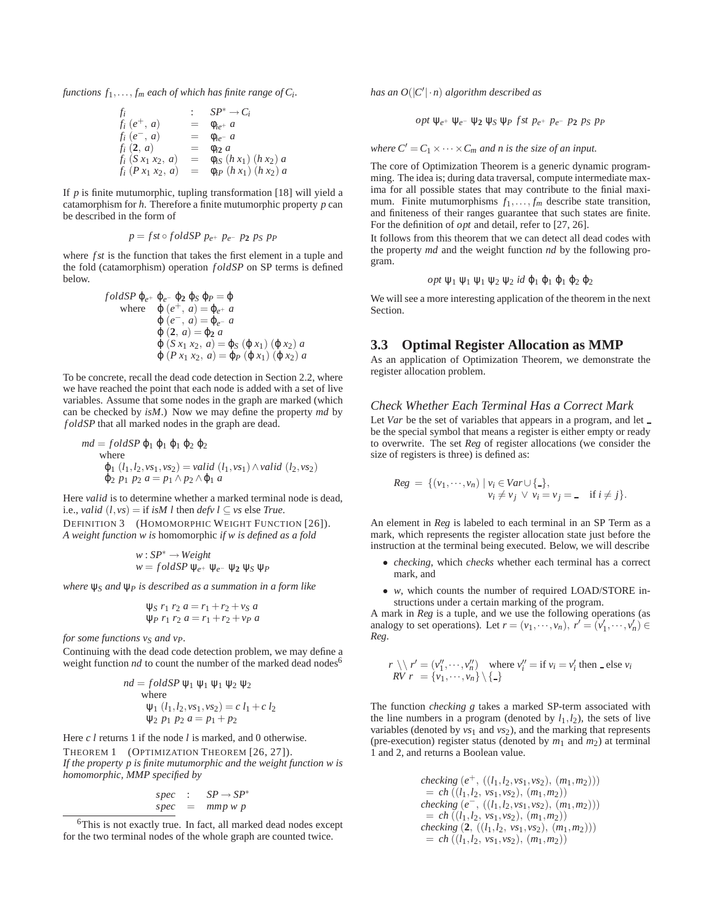*functions*  $f_1, \ldots, f_m$  *each of which has finite range of C<sub>i</sub>.* 

$$
f_i : SP^* \to C_i \n f_i (e^+, a) = \phi_{ie^+} a \n f_i (e^-, a) = \phi_{ie^-} a \n f_i (2, a) = \phi_{i2} a \n f_i (S x_1 x_2, a) = \phi_{i3} (h x_1) (h x_2) a \n f_i (P x_1 x_2, a) = \phi_{iP} (h x_1) (h x_2) a
$$

If *p* is finite mutumorphic, tupling transformation [18] will yield a catamorphism for *h*. Therefore a finite mutumorphic property *p* can be described in the form of

$$
p = fst \circ fold SP \ p_{e^+} \ p_{e^-} \ p_2 \ p_S \ p_P
$$

where *f st* is the function that takes the first element in a tuple and the fold (catamorphism) operation *f oldSP* on SP terms is defined below.

$$
foldSP \varphi_{e^+} \varphi_{e^-} \varphi_2 \varphi_S \varphi_P = \varphi
$$
  
where  $\varphi(e^+, a) = \varphi_{e^+} a$   
 $\varphi(e^-, a) = \varphi_{e^-} a$   
 $\varphi(2, a) = \varphi_2 a$   
 $\varphi(S x_1 x_2, a) = \varphi_S (\varphi x_1) (\varphi x_2) a$   
 $\varphi(P x_1 x_2, a) = \varphi_P (\varphi x_1) (\varphi x_2) a$ 

To be concrete, recall the dead code detection in Section 2.2, where we have reached the point that each node is added with a set of live variables. Assume that some nodes in the graph are marked (which can be checked by *isM*.) Now we may define the property *md* by *f oldSP* that all marked nodes in the graph are dead.

$$
md = foldSP \varphi_1 \varphi_1 \varphi_2 \varphi_2
$$
  
where  

$$
\varphi_1 (l_1, l_2, vs_1, vs_2) = valid (l_1, vs_1) \wedge valid (l_2, vs_2)
$$

$$
\varphi_2 p_1 p_2 a = p_1 \wedge p_2 \wedge \varphi_1 a
$$

Here *valid* is to determine whether a marked terminal node is dead, i.e., *valid*  $(l, vs) =$  if *isM l* then *defv l*  $\subseteq$  *vs* else *True*. DEFINITION 3 (HOMOMORPHIC WEIGHT FUNCTION [26]).

*A weight function w is* homomorphic *if w is defined as a fold*

$$
w: SP^* \to Weight
$$
  

$$
w = fold SP \psi_{e^+} \psi_{e^-} \psi_2 \psi_S \psi_P
$$

*where* ψ*<sup>S</sup> and* ψ*<sup>P</sup> is described as a summation in a form like*

$$
\psi_S \ r_1 \ r_2 \ a = r_1 + r_2 + v_S \ a
$$
  

$$
\psi_P \ r_1 \ r_2 \ a = r_1 + r_2 + v_P \ a
$$

*for some functions vs and vp.* 

Continuing with the dead code detection problem, we may define a weight function *nd* to count the number of the marked dead nodes<sup>6</sup>

$$
nd = foldSP \Psi_1 \Psi_1 \Psi_1 \Psi_2 \Psi_2
$$
  
where  

$$
\Psi_1 (l_1, l_2, vs_1, vs_2) = c l_1 + c l_2
$$

$$
\Psi_2 p_1 p_2 a = p_1 + p_2
$$

Here *c l* returns 1 if the node *l* is marked, and 0 otherwise.

THEOREM 1 (OPTIMIZATION THEOREM [26, 27]). *If the property p is finite mutumorphic and the weight function w is homomorphic, MMP specified by*

$$
spec : SP \rightarrow SP^*
$$
  

$$
spec = mmp w p
$$

*has an*  $O(|C'|\cdot n)$  *algorithm described as* 

$$
opt \psi_{e^+} \psi_{e^-} \psi_2 \psi_S \psi_P \text{ fst } p_{e^+} \text{ p}_{e^-} \text{ p}_2 \text{ p}_S \text{ p}_P
$$

*where*  $C' = C_1 \times \cdots \times C_m$  *and n is the size of an input.* 

The core of Optimization Theorem is a generic dynamic programming. The idea is; during data traversal, compute intermediate maxima for all possible states that may contribute to the finial maximum. Finite mutumorphisms  $f_1, \ldots, f_m$  describe state transition, and finiteness of their ranges guarantee that such states are finite. For the definition of *opt* and detail, refer to [27, 26].

It follows from this theorem that we can detect all dead codes with the property *md* and the weight function *nd* by the following program.

$$
\mathit{opt}\ \psi_1\ \psi_1\ \psi_1\ \psi_2\ \psi_2\ \mathit{id}\ \phi_1\ \phi_1\ \phi_1\ \phi_2\ \phi_2
$$

We will see a more interesting application of the theorem in the next Section.

#### **3.3 Optimal Register Allocation as MMP**

As an application of Optimization Theorem, we demonstrate the register allocation problem.

## *Check Whether Each Terminal Has a Correct Mark*

Let *Var* be the set of variables that appears in a program, and let \_ be the special symbol that means a register is either empty or ready to overwrite. The set *Reg* of register allocations (we consider the size of registers is three) is defined as:

$$
Reg = \{ (v_1, \cdots, v_n) \mid v_i \in Var \cup \{.\},
$$
  
\n
$$
v_i \neq v_j \lor v_i = v_j = \text{if } i \neq j \}.
$$

An element in *Reg* is labeled to each terminal in an SP Term as a mark, which represents the register allocation state just before the instruction at the terminal being executed. Below, we will describe

- *checking*, which *checks* whether each terminal has a correct mark, and
- *w*, which counts the number of required LOAD/STORE instructions under a certain marking of the program.

A mark in *Reg* is a tuple, and we use the following operations (as analogy to set operations). Let  $r = (v_1, \dots, v_n), r' = (v'_1, \dots, v'_n) \in$ *Reg*.

$$
r \setminus r' = (v''_1, \cdots, v''_n) \text{ where } v''_i = \text{if } v_i = v'_i \text{ then } \text{ else } v_i
$$
  

$$
RV \ r = \{v_1, \cdots, v_n\} \setminus \{\text{-}\}
$$

The function *checking g* takes a marked SP-term associated with the line numbers in a program (denoted by  $l_1$ , $l_2$ ), the sets of live variables (denoted by  $vs_1$  and  $vs_2$ ), and the marking that represents (pre-execution) register status (denoted by  $m_1$  and  $m_2$ ) at terminal 1 and 2, and returns a Boolean value.

$$
\begin{array}{lll} \textit{checking}\ (\,e^+ \,,\ (\,(l_1,l_2,\textit{vs}_1,\textit{vs}_2) \,,\ (m_1,m_2)) \, ) \\ \quad = \, \textit{ch}\ \,((\,l_1,l_2 \,,\, \textit{vs}_1,\textit{vs}_2) \,,\ (m_1,m_2) \, ) \\ \textit{checking}\ (\,e^- \,,\ (\,(\,l_1,l_2,\textit{vs}_1,\textit{vs}_2) \,,\ (m_1,m_2) \, ) \, ) \\ \quad = \, \textit{ch}\ \,((\,l_1,l_2 \,,\, \textit{vs}_1,\textit{vs}_2) \,,\ (m_1,m_2) \, ) \\ \textit{checking}\ \,(\,2 \,,\ (\,(\,l_1,l_2 \,,\, \textit{vs}_1,\textit{vs}_2) \,,\ (m_1,m_2) \, )) \, \\ \quad = \, \textit{ch}\ \,((\,l_1,l_2 \,,\, \textit{vs}_1,\textit{vs}_2) \,,\ (m_1,m_2) \, ) \end{array}
$$

<sup>&</sup>lt;sup>6</sup>This is not exactly true. In fact, all marked dead nodes except for the two terminal nodes of the whole graph are counted twice.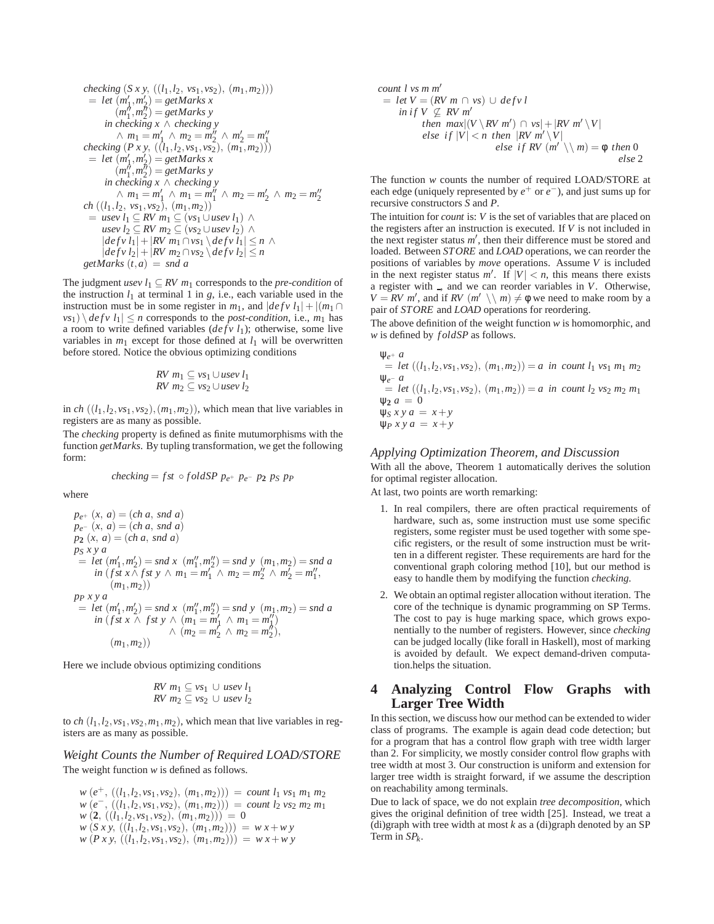$$
checking (S x y, ((l_1, l_2, vs_1, vs_2), (m_1, m_2)))
$$
  
= let  $(m'_1, m'_2)$  = get Marks x  
 $(m''_1, m''_2)$  = get Marks y  
in checking x ∧ checking y  
 $\land m_1 = m'_1 \land m_2 = m''_2 \land m'_2 = m''_1$   
checking (P x y, ((l\_1, l\_2, vs\_1, vs\_2), (m\_1, m\_2)))  
= let  $(m'_1, m'_2)$  = get Marks x  
 $(m''_1, m''_2)$  = get Marks y  
in checking x ∧ checking y  
 $\land m_1 = m'_1 \land m_1 = m''_1 \land m_2 = m'_2 \land m_2 = m''_2$   
ch ((l\_1, l\_2, vs\_1, vs\_2), (m\_1, m\_2))  
= use v l\_1 ⊆ RV m\_1 ⊆ (vs\_1 ∪ use v l\_1) ∧  
use v l\_2 ⊆ RV m\_2 ⊆ (vs\_2 ∪ use v l\_2) ∧  
|def v l\_1| + |RV m\_1 ∩ vs\_1 \land def v l\_1| ≤ n ∧  
|def v l\_2| + |RV m\_2 ∩ vs\_2 \land def v l\_2| ≤ n  
get Marks (t, a) = snd a

The judgment *usev*  $l_1 \subseteq RV$   $m_1$  corresponds to the *pre-condition* of the instruction  $l_1$  at terminal 1 in *g*, i.e., each variable used in the instruction must be in some register in  $m_1$ , and  $|defv l_1| + |(m_1 \cap$  $v s_1$ )  $\langle$  *defv*  $l_1$   $| \leq n$  corresponds to the *post-condition*, i.e.,  $m_1$  has a room to write defined variables (*defv l*1); otherwise, some live variables in  $m_1$  except for those defined at  $l_1$  will be overwritten before stored. Notice the obvious optimizing conditions

*RV* 
$$
m_1 \subseteq vs_1 \cup usev l_1
$$
  
*RV*  $m_2 \subseteq vs_2 \cup usev l_2$ 

in *ch*  $((l_1, l_2, vs_1, vs_2), (m_1, m_2))$ , which mean that live variables in registers are as many as possible.

The *checking* property is defined as finite mutumorphisms with the function *getMarks*. By tupling transformation, we get the following form:

$$
checking = fst \circ fold SP \ p_{e^+} \ p_{e^-} \ p_2 \ p_S \ p_P
$$

where

$$
p_{e^{+}}(x, a) = (ch a, snd a)
$$
  
\n
$$
p_{e^{-}}(x, a) = (ch a, snd a)
$$
  
\n
$$
p_2(x, a) = (ch a, snd a)
$$
  
\n
$$
p_5 xy a
$$
  
\n
$$
= let (m'_1, m'_2) = snd x (m''_1, m''_2) = snd y (m_1, m_2) = snd a
$$
  
\n
$$
in (fst x \land f st y \land m_1 = m'_1 \land m_2 = m''_2 \land m'_2 = m''_1,
$$
  
\n
$$
(m_1, m_2))
$$
  
\n
$$
p_P xy a
$$
  
\n
$$
= let (m'_1, m'_2) = snd x (m''_1, m''_2) = snd y (m_1, m_2) = snd a
$$
  
\n
$$
in (fst x \land f st y \land (m_1 = m'_1 \land m_1 = m''_1))
$$
  
\n
$$
\land (m_2 = m'_2 \land m_2 = m''_2),
$$
  
\n
$$
(m_1, m_2))
$$

Here we include obvious optimizing conditions

*RV* 
$$
m_1 \subseteq vs_1 \cup usev l_1
$$
  
*RV*  $m_2 \subseteq vs_2 \cup usev l_2$ 

to *ch*  $(l_1, l_2, vs_1, vs_2, m_1, m_2)$ , which mean that live variables in registers are as many as possible.

#### *Weight Counts the Number of Required LOAD/STORE* The weight function *w* is defined as follows.

 $w(e^+, ((l_1, l_2, vs_1, vs_2), (m_1, m_2))) = \text{count } l_1 vs_1 m_1 m_2$  $w(e^-, ((l_1, l_2, vs_1, vs_2), (m_1, m_2))) = \text{count } l_2 \text{ vs}_2 \text{ m}_2 \text{ m}_1$  $w(2, ((l_1, l_2, vs_1, vs_2), (m_1, m_2))) = 0$  $w(S \, x \, y, ((l_1, l_2, vs_1, vs_2), (m_1, m_2))) = w \, x + w \, y$  $w(P \times y, ((l_1, l_2, vs_1, vs_2), (m_1, m_2))) = w x + w y$ 

count l vs m m'  
\n= let 
$$
V = (RV \ m \cap vs) \cup defv l
$$
  
\n $in if V \nsubseteq RV m'$   
\nthen  $max(|V \setminus RV m' \setminus v| + |RV m' \setminus V|$   
\nelse if  $|V| < n$  then  $|RV m' \setminus V|$   
\nelse if  $RV (m' \setminus m) = \phi$  then 0  
\nelse 2

The function *w* counts the number of required LOAD/STORE at each edge (uniquely represented by *e*<sup>+</sup> or *e*−), and just sums up for recursive constructors *S* and *P*.

The intuition for *count* is: *V* is the set of variables that are placed on the registers after an instruction is executed. If *V* is not included in the next register status  $m'$ , then their difference must be stored and loaded. Between *STORE* and *LOAD* operations, we can reorder the positions of variables by *move* operations. Assume *V* is included in the next register status  $m'$ . If  $|V| < n$ , this means there exists a register with  $\Box$ , and we can reorder variables in *V*. Otherwise,  $V = RV \ m'$ , and if *RV*  $(m' \setminus m) \neq \emptyset$  we need to make room by a pair of *STORE* and *LOAD* operations for reordering.

The above definition of the weight function *w* is homomorphic, and *w* is defined by *f oldSP* as follows.

$$
\Psi_{e^+} a
$$
  
= let ((l<sub>1</sub>,l<sub>2</sub>,vs<sub>1</sub>,vs<sub>2</sub>), (m<sub>1</sub>,m<sub>2</sub>)) = a in count l<sub>1</sub> vs<sub>1</sub> m<sub>1</sub> m<sub>2</sub>  

$$
\Psi_{e^-} a
$$
  
= let ((l<sub>1</sub>,l<sub>2</sub>,vs<sub>1</sub>,vs<sub>2</sub>), (m<sub>1</sub>,m<sub>2</sub>)) = a in count l<sub>2</sub> vs<sub>2</sub> m<sub>2</sub> m<sub>1</sub>  

$$
\Psi_2 a = 0
$$
  

$$
\Psi_5 xy a = x + y
$$
  

$$
\Psi_P xy a = x + y
$$

#### *Applying Optimization Theorem, and Discussion*

With all the above, Theorem 1 automatically derives the solution for optimal register allocation.

At last, two points are worth remarking:

- 1. In real compilers, there are often practical requirements of hardware, such as, some instruction must use some specific registers, some register must be used together with some specific registers, or the result of some instruction must be written in a different register. These requirements are hard for the conventional graph coloring method [10], but our method is easy to handle them by modifying the function *checking*.
- 2. We obtain an optimal register allocation without iteration. The core of the technique is dynamic programming on SP Terms. The cost to pay is huge marking space, which grows exponentially to the number of registers. However, since *checking* can be judged locally (like forall in Haskell), most of marking is avoided by default. We expect demand-driven computation.helps the situation.

# **4 Analyzing Control Flow Graphs with Larger Tree Width**

In this section, we discuss how our method can be extended to wider class of programs. The example is again dead code detection; but for a program that has a control flow graph with tree width larger than 2. For simplicity, we mostly consider control flow graphs with tree width at most 3. Our construction is uniform and extension for larger tree width is straight forward, if we assume the description on reachability among terminals.

Due to lack of space, we do not explain *tree decomposition*, which gives the original definition of tree width [25]. Instead, we treat a (di)graph with tree width at most  $k$  as a (di)graph denoted by an SP Term in *SPk*.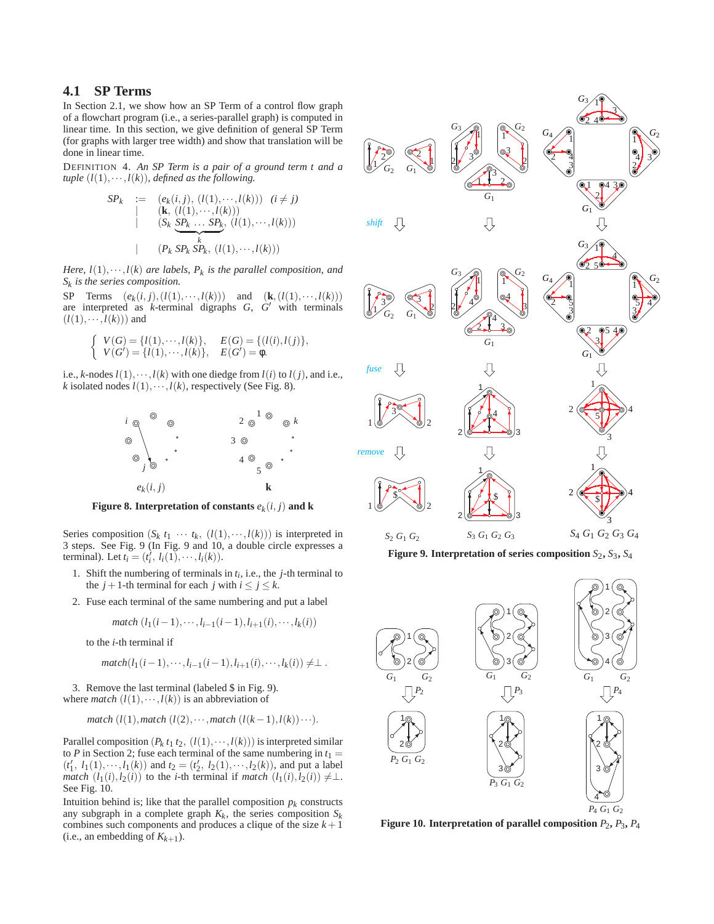# **4.1 SP Terms**

In Section 2.1, we show how an SP Term of a control flow graph of a flowchart program (i.e., a series-parallel graph) is computed in linear time. In this section, we give definition of general SP Term (for graphs with larger tree width) and show that translation will be done in linear time.

DEFINITION 4. *An SP Term is a pair of a ground term t and a tuple*  $(l(1), \dots, l(k))$ *, defined as the following.* 

SP<sub>k</sub> := 
$$
(e_k(i, j), (l(1), \dots, l(k)))
$$
  $(i \neq j)$   
\n(**k**,  $(l(1), \dots, l(k)))$   
\n $(S_k \ S P_k \dots S P_k, (l(1), \dots, l(k)))$   
\n( $P_k S P_k S P_k, (l(1), \dots, l(k)))$ 

*Here,*  $l(1), \dots, l(k)$  *are labels,*  $P_k$  *is the parallel composition, and Sk is the series composition.*

SP Terms  $(e_k(i, j), (l(1), \dots, l(k)))$  and  $(\mathbf{k}, (l(1), \dots, l(k)))$ are interpreted as  $k$ -terminal digraphs  $G$ ,  $G'$  with terminals  $(l(1), \cdots, l(k))$  and

$$
\begin{cases}\nV(G) = \{l(1), \cdots, l(k)\}, & E(G) = \{(l(i), l(j)\}, \\
V(G') = \{l(1), \cdots, l(k)\}, & E(G') = \phi.\n\end{cases}
$$

i.e., *k*-nodes  $l(1), \dots, l(k)$  with one diedge from  $l(i)$  to  $l(j)$ , and i.e., *k* isolated nodes  $l(1), \cdots, l(k)$ , respectively (See Fig. 8).



**Figure 8. Interpretation of constants**  $e_k(i, j)$  and **k** 

Series composition  $(S_k t_1 \cdots t_k, (l(1), \cdots, l(k)))$  is interpreted in 3 steps. See Fig. 9 (In Fig. 9 and 10, a double circle expresses a terminal). Let  $t_i = (t'_i, l_i(1), \dots, l_i(k)).$ 

- 1. Shift the numbering of terminals in  $t_i$ , i.e., the  $j$ -th terminal to the  $j + 1$ -th terminal for each  $j$  with  $i \leq j \leq k$ .
- 2. Fuse each terminal of the same numbering and put a label

$$
match (l_1(i-1), \cdots, l_{i-1}(i-1), l_{i+1}(i), \cdots, l_k(i))
$$

to the *i*-th terminal if

$$
match(l_1(i-1),...,l_{i-1}(i-1),l_{i+1}(i),...,l_k(i)) \neq \perp.
$$

3. Remove the last terminal (labeled \$ in Fig. 9). where *match*  $(l(1), \dots, l(k))$  is an abbreviation of

$$
match (l(1), match (l(2), \cdots, match (l(k-1), l(k))\cdots).
$$

Parallel composition  $(P_k t_1 t_2, (l(1), \dots, l(k)))$  is interpreted similar to *P* in Section 2; fuse each terminal of the same numbering in  $t_1 =$  $(t'_1, l_1(1), \dots, l_1(k))$  and  $t_2 = (t'_2, l_2(1), \dots, l_2(k))$ , and put a label *match*  $(l_1(i), l_2(i))$  to the *i*-th terminal if *match*  $(l_1(i), l_2(i)) \neq \perp$ . See Fig. 10.

Intuition behind is; like that the parallel composition  $p_k$  constructs any subgraph in a complete graph  $K_k$ , the series composition  $S_k$ combines such components and produces a clique of the size  $k+1$ (i.e., an embedding of  $K_{k+1}$ ).



**Figure 9. Interpretation of series composition**  $S_2$ **,**  $S_3$ **,**  $S_4$ 



**Figure 10. Interpretation of parallel composition**  $P_2$ **,**  $P_3$ **,**  $P_4$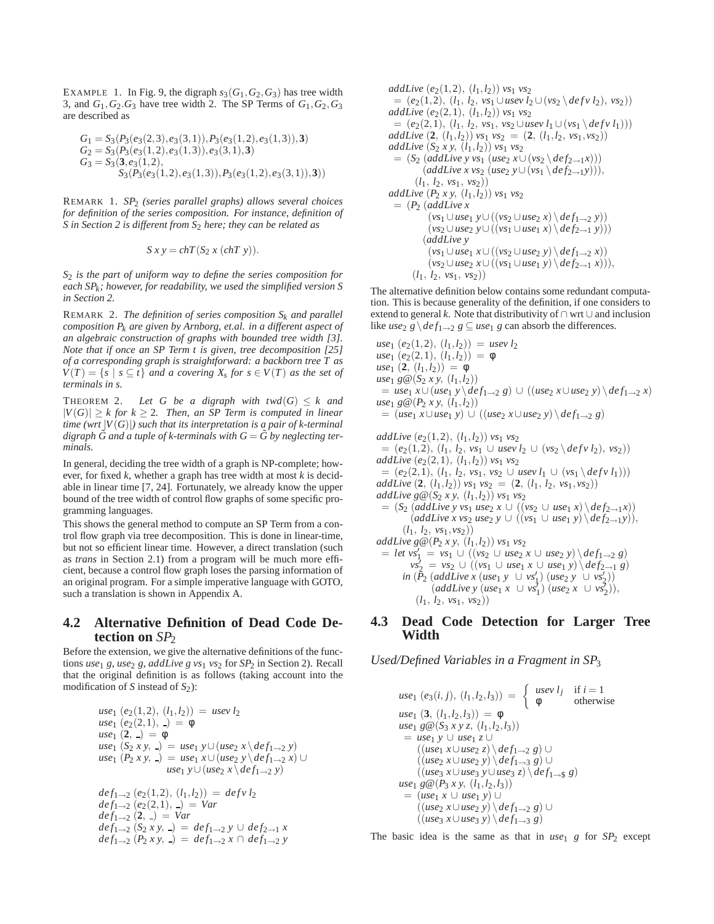EXAMPLE 1. In Fig. 9, the digraph  $s_3(G_1, G_2, G_3)$  has tree width 3, and  $G_1$ ,  $G_2$ ,  $G_3$  have tree width 2. The SP Terms of  $G_1$ ,  $G_2$ ,  $G_3$ are described as

$$
G_1 = S_3(P_3(e_3(2,3), e_3(3,1)), P_3(e_3(1,2), e_3(1,3)), 3)
$$
  
\n
$$
G_2 = S_3(P_3(e_3(1,2), e_3(1,3)), e_3(3,1), 3)
$$
  
\n
$$
G_3 = S_3(3, e_3(1,2),
$$
  
\n
$$
S_3(P_3(e_3(1,2), e_3(1,3)), P_3(e_3(1,2), e_3(3,1)), 3))
$$

REMARK 1. *SP*<sup>2</sup> *(series parallel graphs) allows several choices for definition of the series composition. For instance, definition of S* in Section 2 is different from S<sub>2</sub> here; they can be related as

$$
S\,x\,y = chT(S_2\,x\,(chT\,y)).
$$

*S*<sup>2</sup> *is the part of uniform way to define the series composition for each SPk; however, for readability, we used the simplified version S in Section 2.*

REMARK 2. *The definition of series composition Sk and parallel composition Pk are given by Arnborg, et.al. in a different aspect of an algebraic construction of graphs with bounded tree width [3]. Note that if once an SP Term t is given, tree decomposition [25] of a corresponding graph is straightforward: a backborn tree T as*  $V(T) = \{s \mid s \subseteq t\}$  *and a covering*  $X_s$  *for*  $s \in V(T)$  *as the set of terminals in s.*

THEOREM 2. Let G be a digraph with  $twd(G) \leq k$  and  $|V(G)| \geq k$  for  $k \geq 2$ . Then, an SP Term is computed in linear *time (wrt*  $|V(G)|$ ) such that its interpretation is a pair of k-terminal *digraph*  $\tilde{G}$  and a tuple of k-terminals with  $G = \tilde{G}$  by neglecting ter*minals.*

In general, deciding the tree width of a graph is NP-complete; however, for fixed *k*, whether a graph has tree width at most *k* is decidable in linear time [7, 24]. Fortunately, we already know the upper bound of the tree width of control flow graphs of some specific programming languages.

This shows the general method to compute an SP Term from a control flow graph via tree decomposition. This is done in linear-time, but not so efficient linear time. However, a direct translation (such as *trans* in Section 2.1) from a program will be much more efficient, because a control flow graph loses the parsing information of an original program. For a simple imperative language with GOTO, such a translation is shown in Appendix A.

# **4.2 Alternative Definition of Dead Code Detection on** *SP*<sub>2</sub>

Before the extension, we give the alternative definitions of the functions *use*<sup>1</sup> *g*, *use*<sup>2</sup> *g*, *addLive g vs*<sup>1</sup> *vs*<sup>2</sup> for *SP*<sup>2</sup> in Section 2). Recall that the original definition is as follows (taking account into the modification of *S* instead of *S*<sub>2</sub>):

use<sub>1</sub> (e<sub>2</sub>(1,2), (l<sub>1</sub>,l<sub>2</sub>)) = *usev l*<sub>2</sub>  
\nuse<sub>1</sub> (e<sub>2</sub>(2,1), -) = 
$$
\phi
$$
  
\nuse<sub>1</sub> (2, -) =  $\phi$   
\nuse<sub>1</sub> (S<sub>2</sub> x y, -) = *use*<sub>1</sub> y ∪ (*use*<sub>2</sub> x \ *def*<sub>1→2</sub> y)  
\nuse<sub>1</sub> (P<sub>2</sub> x y, -) = *use*<sub>1</sub> x ∪ (*use*<sub>2</sub> y \ *def*<sub>1→2</sub> x) ∪  
\nuse<sub>1</sub> y ∪ (*use*<sub>2</sub> x \ *def*<sub>1→2</sub> y)

$$
def_{1\rightarrow 2} (e_2(1,2), (l_1,l_2)) = def_1 \cup l_2
$$
  
\n
$$
def_{1\rightarrow 2} (e_2(2,1), -) = Var
$$
  
\n
$$
def_{1\rightarrow 2} (\mathbf{2}, -) = Var
$$
  
\n
$$
def_{1\rightarrow 2} (S_2 x y, -) = def_{1\rightarrow 2} y \cup def_{2\rightarrow 1} x
$$
  
\n
$$
def_{1\rightarrow 2} (P_2 xy, -) = def_{1\rightarrow 2} x \cap def_{1\rightarrow 2} y
$$

*addLive*  $(e_2(1,2), (l_1, l_2))$   $vs_1 vs_2$  $= (e_2(1,2), (l_1, l_2, vs_1 ∪ use v l_2 ∪ (vs_2 \ \ \ \ \ defv l_2), vs_2))$ *addLive*  $(e_2(2,1), (l_1, l_2))$   $vs_1 vs_2$  $= (e_2(2,1), (l_1, l_2, vs_1, vs_2 ∪ user l_1 ∪ (vs_1 \ \det v l_1)))$ *addLive*  $(2, (l_1, l_2))$   $vs_1$   $vs_2 = (2, (l_1, l_2, vs_1, vs_2))$ *addLive*  $(S_2 x y, (l_1, l_2))$   $vs_1 vs_2$  $= (S_2 \text{ (addLive y vs_1 (use_2 x \cup (vs_2 \backslash def_{2\rightarrow 1} x)))}$  $(addLive x vs<sub>2</sub> (use<sub>2</sub> y \cup (vs<sub>1</sub> \langle def_{2\rightarrow 1}y \rangle)),$  $(l_1, l_2, vs_1, vs_2))$ *addLive*  $(P_2 x y, (l_1, l_2))$   $vs_1 vs_2$  $=$   $(P_2 \ (addLive x)$  $(vs_1 ∪ use_1 y ∪ ((vs_2 ∪ use_2 x) \ \det f_1 \rightarrow 2 y))$  $(vs_2 \cup use_2 y \cup ((vs_1 \cup use_1 x) \setminus def_{2\rightarrow 1} y)))$ (*addLive y*  $(vs_1 \cup use_1 x \cup ((vs_2 \cup use_2 y) \setminus def_{1\rightarrow 2} x))$  $(vs_2 \cup use_2 x \cup ((vs_1 \cup use_1 y) \setminus def_{2 \to 1} x)),$  $(l_1, l_2, vs_1, vs_2))$ 

The alternative definition below contains some redundant computation. This is because generality of the definition, if one considers to extend to general *k*. Note that distributivity of ∩ wrt ∪ and inclusion like *use*<sub>2</sub> *g*  $\det_{1\to 2}$  *g*  $\subseteq$  *use*<sub>1</sub> *g* can absorb the differences.

use<sub>1</sub> (e<sub>2</sub>(1,2), (l<sub>1</sub>, l<sub>2</sub>)) = *usev* l<sub>2</sub>  
\nuse<sub>1</sub> (e<sub>2</sub>(2,1), (l<sub>1</sub>, l<sub>2</sub>)) = 
$$
\phi
$$
  
\nuse<sub>1</sub> (2, (l<sub>1</sub>, l<sub>2</sub>)) =  $\phi$   
\nuse<sub>1</sub> g@(S<sub>2</sub> xy, (l<sub>1</sub>, l<sub>2</sub>))  
\n= *use*<sub>1</sub> x∪ (*use*<sub>1</sub> y \ *def*<sub>1→2</sub> g) ∪ ((*use*<sub>2</sub> x∪ *use*<sub>2</sub> y) \ *def*<sub>1→2</sub> x)  
\nuse<sub>1</sub> g@(P<sub>2</sub> xy, (l<sub>1</sub>, l<sub>2</sub>))  
\n= (*use*<sub>1</sub> x∪ *use*<sub>1</sub> y) ∪ ((*use*<sub>2</sub> x∪ *use*<sub>2</sub> y) \ *def*<sub>1→2</sub> g)  
\naddLive (e<sub>2</sub>(1,2), (l<sub>1</sub>, l<sub>2</sub>)) vs<sub>1</sub> vs<sub>2</sub>  
\n= (e<sub>2</sub>(1,2), (l<sub>1</sub>, l<sub>2</sub>, vs<sub>1</sub> ∪ *usev* l<sub>2</sub> ∪ (vs<sub>2</sub> \ *defv* l<sub>2</sub>), vs<sub>2</sub>))  
\naddLive (e<sub>2</sub>(2,1), (l<sub>1</sub>, l<sub>2</sub>)) vs<sub>1</sub> vs<sub>2</sub>  
\n= (e<sub>2</sub>(2,1), (l<sub>1</sub>, l<sub>2</sub>, vs<sub>1</sub>, vs<sub>2</sub> ∪ *usev* l<sub>1</sub> ∪ (vs<sub>1</sub> \ *defv* l<sub>1</sub>)))  
\naddLive (2, (l<sub>1</sub>, l<sub>2</sub>)) vs<sub>1</sub> vs<sub>2</sub> = (2, (

addLive 
$$
g \circ (S_2 x y, (l_1, l_2))
$$
 vs<sub>1</sub> vs<sub>2</sub>  
=  $(S_2 \text{ (addLive y vs1 use2 x  $\cup$  ((vs<sub>2</sub>  $\cup$  use<sub>1</sub> x) \  $\text{def}_{2\rightarrow1}x))$   
 $(addLive x vs2 use2 y  $\cup$  ((vs<sub>1</sub>  $\cup$  use<sub>1</sub> y) \  $\text{def}_{2\rightarrow1}y)$   
 $(l_1, l_2, vs_1, vs_2)$$$ 

addLive 
$$
g \circ (P_2 xy, (l_1, l_2))
$$
 vs<sub>1</sub> vs<sub>2</sub>  
\n= let  $vs'_1 = vs_1 \cup ((vs_2 \cup use_2 x \cup use_2 y) \setminus def_{1\rightarrow 2} g)$   
\n $vs'_2 = vs_2 \cup ((vs_1 \cup use_1 x \cup use_1 y) \setminus def_{2\rightarrow 1} g)$   
\nin  $(P_2 (addLive x (use_1 y \cup vs'_1) (use_2 y \cup vs'_2)))$   
\n(*addLive* y (use\_1 x \cup vs'\_1) (use\_2 x \cup vs'\_2)),  
\n $(l_1, l_2, vs_1, vs_2))$ 

# **4.3 Dead Code Detection for Larger Tree Width**

*Used/Defined Variables in a Fragment in SP*<sup>3</sup>

*use*<sup>1</sup> (*e*3(*i, <sup>j</sup>*)*,* (*l*1*,l*2*,l*3)) = *usev lj* if *<sup>i</sup>* <sup>=</sup> <sup>1</sup> φ otherwise *use*<sup>1</sup> (**3***,* (*l*1*,l*2*,l*3)) = φ *use*<sup>1</sup> *g*@(*S*<sup>3</sup> *xyz,* (*l*1*,l*2*,l*3)) = *use*<sup>1</sup> *y* ∪ *use*<sup>1</sup> *z* ∪ ((*use*<sup>1</sup> *x*∪*use*<sup>2</sup> *z*) \ *def*1→<sup>2</sup> *g*) ∪ ((*use*<sup>2</sup> *x*∪*use*<sup>2</sup> *y*) \ *def*1→<sup>3</sup> *g*) ∪ ((*use*<sup>3</sup> *x*∪*use*<sup>3</sup> *y*∪*use*<sup>3</sup> *z*) \ *def*1→\$ *g*) *use*<sup>1</sup> *g*@(*P*<sup>3</sup> *x y,* (*l*1*,l*2*,l*3)) = (*use*<sup>1</sup> *x* ∪ *use*<sup>1</sup> *y*) ∪ ((*use*<sup>2</sup> *x*∪*use*<sup>2</sup> *y*) \ *def*1→<sup>2</sup> *g*) ∪ ((*use*<sup>3</sup> *x*∪*use*<sup>3</sup> *y*) \ *def*1→<sup>3</sup> *g*)

The basic idea is the same as that in  $use_1$  *g* for  $SP_2$  except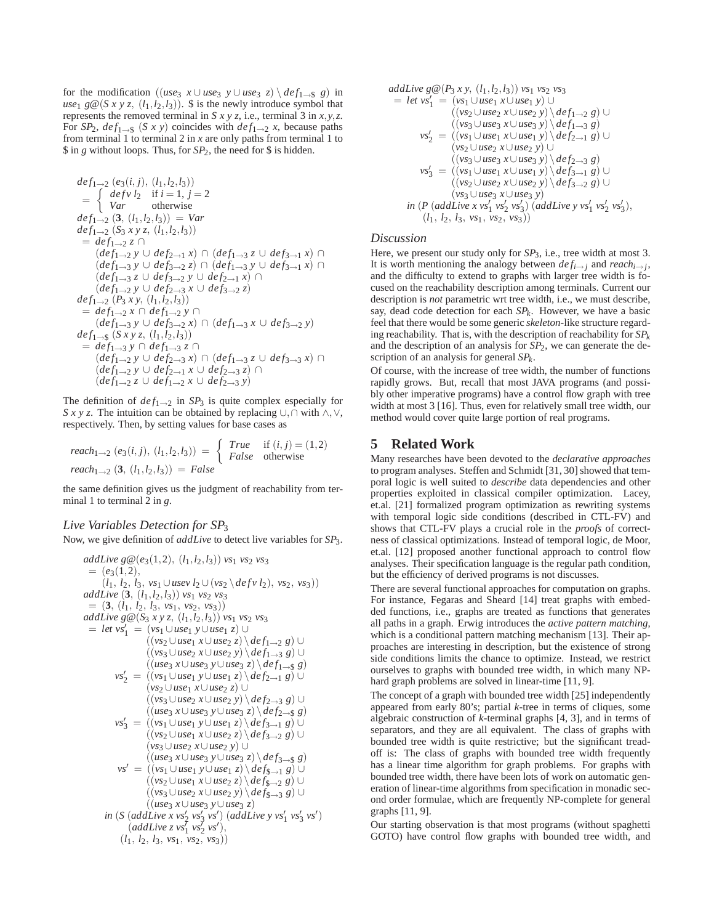for the modification ((*use*<sub>3</sub>  $x \cup$ *use*<sub>3</sub>  $y \cup$ *use*<sub>3</sub>  $z$ ) \  $def_{1\rightarrow$ \$} *g*) in  $use_1$   $g@(Sxyz, (l_1,l_2,l_3))$ .  $\$$  is the newly introduce symbol that represents the removed terminal in *S*  $x \, y \, z$ , i.e., terminal 3 in  $x, y, z$ . For *SP*<sub>2</sub>,  $def_{1\rightarrow\$}$  (*S x y*) coincides with  $def_{1\rightarrow\$}$  *x*, because paths from terminal 1 to terminal 2 in *x* are only paths from terminal 1 to \$ in *g* without loops. Thus, for *SP*2, the need for \$ is hidden.

$$
def_{1\rightarrow 2} (e_{3}(i,j), (l_{1}, l_{2}, l_{3}))
$$
\n
$$
= \begin{cases}\ndef_{1}l_{2} & if i = 1, j = 2 \\
Var & otherwise\n\end{cases}
$$
\n
$$
def_{1\rightarrow 2} (3, (l_{1}, l_{2}, l_{3})) = Var
$$
\n
$$
def_{1\rightarrow 2} (S_{3} x y z, (l_{1}, l_{2}, l_{3}))
$$
\n
$$
= def_{1\rightarrow 2} z \cap
$$
\n
$$
(def_{1\rightarrow 3} y \cup def_{2\rightarrow 1} x) \cap (def_{1\rightarrow 3} z \cup def_{3\rightarrow 1} x) \cap
$$
\n
$$
(def_{1\rightarrow 3} y \cup def_{3\rightarrow 2} z) \cap (def_{1\rightarrow 3} y \cup def_{3\rightarrow 1} x) \cap
$$
\n
$$
(def_{1\rightarrow 3} z \cup def_{3\rightarrow 2} y \cup def_{2\rightarrow 1} x) \cap
$$
\n
$$
(def_{1\rightarrow 2} y \cup def_{2\rightarrow 3} x \cup def_{3\rightarrow 2} z)
$$
\n
$$
def_{1\rightarrow 2} (P_{3} x y, (l_{1}, l_{2}, l_{3}))
$$
\n
$$
= def_{1\rightarrow 2} x \cap def_{1\rightarrow 2} y \cap
$$
\n
$$
(def_{1\rightarrow 3} y \cup def_{3\rightarrow 2} x) \cap (def_{1\rightarrow 3} x \cup def_{3\rightarrow 2} y)
$$
\n
$$
def_{1\rightarrow 5} (S x y z, (l_{1}, l_{2}, l_{3}))
$$
\n
$$
= def_{1\rightarrow 3} y \cap def_{1\rightarrow 3} z \cap
$$
\n
$$
(def_{1\rightarrow 2} y \cup def_{2\rightarrow 3} x) \cap (def_{1\rightarrow 3} z \cup def_{3\rightarrow 3} x) \cap
$$
\n
$$
(def_{1\rightarrow 2} y \cup def_{2\rightarrow 1} x \cup def_{2\rightarrow 3} z) \cap
$$
\n
$$
(def_{1\rightarrow 2} z \cup def_{1\rightarrow 2} x \cup def_{2\rightarrow 3} y)
$$

The definition of  $def_{1\rightarrow 2}$  in  $SP_3$  is quite complex especially for *Sxyz*. The intuition can be obtained by replacing ∪*,*∩ with ∧*,*∨, respectively. Then, by setting values for base cases as

$$
reach_{1\to 2}(e_3(i,j), (l_1, l_2, l_3)) = \begin{cases} True & \text{if } (i,j) = (1,2) \\ False & \text{otherwise} \end{cases}
$$
  
 $reach_{1\to 2}(3, (l_1, l_2, l_3)) = False$ 

the same definition gives us the judgment of reachability from terminal 1 to terminal 2 in *g*.

#### *Live Variables Detection for SP*<sup>3</sup>

Now, we give definition of *addLive* to detect live variables for *SP*3.

addLive 
$$
g@(e_3(1,2), (l_1, l_2, l_3))
$$
 vs<sub>1</sub> vs<sub>2</sub> vs<sub>3</sub>  
\n=  $(e_3(1,2), (l_1, l_2, l_3, vs_1 \cup use \nu l_2 \cup (vs_2 \setminus def \nu l_2), vs_2, vs_3))$   
\naddLive  $(3, (l_1, l_2, l_3, vs_1, vs_2, vs_3))$   
\naddLive  $g@(S_3 \times y \times, (l_1, l_2, l_3))$  vs<sub>1</sub> vs<sub>2</sub> vs<sub>3</sub>  
\n= let  $vs'_1$  =  $(vs_1 \cup use_1 y \cup use_1 z) \cup ( (vs_2 \cup use_1 x \cup use_2 z) \setminus def_{1\rightarrow 2} g) \cup ( (vs_3 \cup use_2 x \cup use_2 y) \setminus def_{1\rightarrow 3} g) \cup ( (us_3 \cup use_2 x \cup use_2 y) \setminus def_{1\rightarrow 3} g) \cup ( (us_3 \cup use_2 x \cup use_2 z) \setminus def_{1\rightarrow 3} g) \cup ( (us_3 \cup use_2 x \cup use_2 z) \setminus def_{2\rightarrow 3} g) \cup ( (vs_2 \cup use_1 x \cup use_2 z) \setminus def_{2\rightarrow 3} g) \cup ( (vs_2 \cup use_1 x \cup use_2 y) \setminus def_{2\rightarrow 3} g) \cup ( (vs_2 \cup use_1 x \cup use_2 z) \setminus def_{3\rightarrow 1} g) \cup ( (vs_2 \cup use_1 x \cup use_2 z) \setminus def_{3\rightarrow 1} g) \cup ( (vs_2 \cup use_1 x \cup use_2 z) \setminus def_{3\rightarrow 2} g) \cup ( (vs_3 \cup use_2 x \cup use_2 z) \setminus def_{3\rightarrow 3} g) \cup ( (vs_3 \cup use_2 x \cup use_2 z) \setminus def_{3\rightarrow 3} g) \cup ( (vs_3 \cup use_2 x \cup use_2 z) \setminus def_{3\rightarrow 3} g) \cup ( (vs_3 \cup use_2 x \cup use_2 z) \setminus def_{3\rightarrow 3} g) \cup ( (vs_3 \cup use_2 x \cup use_2 z) \setminus def_{3\rightarrow 3} g) \cup ( (vs_3 \cup use_2 x \cup use$ 

addLive 
$$
g@(P_3 x y, (l_1, l_2, l_3))
$$
 vs<sub>1</sub> vs<sub>2</sub> vs<sub>3</sub>  
\n= let  $vs'_1 = (vs_1 \cup use_1 x \cup use_1 y) \cup$   
\n $((vs_2 \cup use_2 x \cup use_2 y) \setminus def_{1 \rightarrow 2} g) \cup$   
\n $(vs_3 \cup use_3 x \cup use_3 y) \setminus def_{-3} g)$   
\n $vs'_2 = ((vs_1 \cup use_1 x \cup use_1 y) \setminus def_{2 \rightarrow 1} g) \cup$   
\n $(vs_2 \cup use_2 x \cup use_2 y) \cup$   
\n $((vs_3 \cup use_3 x \cup use_3 y) \setminus def_{3 \rightarrow 1} g) \cup$   
\n $(vs'_3 = ((vs_1 \cup use_1 x \cup use_1 y) \setminus def_{3 \rightarrow 1} g) \cup$   
\n $((vs_2 \cup use_2 x \cup use_2 y) \setminus def_{3 \rightarrow 2} g) \cup$   
\n $(vs_3 \cup use_3 x \cup use_3 y)$   
\nin (P (addLive x vs'<sub>1</sub> vs'<sub>2</sub> vs'<sub>3</sub>) (addLive y vs'<sub>1</sub> vs'<sub>2</sub> vs'<sub>3</sub>),

 $(l_1, l_2, l_3, \nu s_1, \nu s_2, \nu s_3))$ 

#### *Discussion*

Here, we present our study only for  $SP_3$ , i.e., tree width at most 3. It is worth mentioning the analogy between  $def_{i\rightarrow i}$  and  $reach_{i\rightarrow i}$ , and the difficulty to extend to graphs with larger tree width is focused on the reachability description among terminals. Current our description is *not* parametric wrt tree width, i.e., we must describe, say, dead code detection for each *SPk*. However, we have a basic feel that there would be some generic *skeleton*-like structure regarding reachability. That is, with the description of reachability for  $SP_k$ and the description of an analysis for *SP*2, we can generate the description of an analysis for general *SPk*.

Of course, with the increase of tree width, the number of functions rapidly grows. But, recall that most JAVA programs (and possibly other imperative programs) have a control flow graph with tree width at most 3 [16]. Thus, even for relatively small tree width, our method would cover quite large portion of real programs.

## **5 Related Work**

Many researches have been devoted to the *declarative approaches* to program analyses. Steffen and Schmidt [31, 30] showed that temporal logic is well suited to *describe* data dependencies and other properties exploited in classical compiler optimization. Lacey, et.al. [21] formalized program optimization as rewriting systems with temporal logic side conditions (described in CTL-FV) and shows that CTL-FV plays a crucial role in the *proofs* of correctness of classical optimizations. Instead of temporal logic, de Moor, et.al. [12] proposed another functional approach to control flow analyses. Their specification language is the regular path condition, but the efficiency of derived programs is not discusses.

There are several functional approaches for computation on graphs. For instance, Fegaras and Sheard [14] treat graphs with embedded functions, i.e., graphs are treated as functions that generates all paths in a graph. Erwig introduces the *active pattern matching*, which is a conditional pattern matching mechanism [13]. Their approaches are interesting in description, but the existence of strong side conditions limits the chance to optimize. Instead, we restrict ourselves to graphs with bounded tree width, in which many NPhard graph problems are solved in linear-time [11, 9].

The concept of a graph with bounded tree width [25] independently appeared from early 80's; partial *k*-tree in terms of cliques, some algebraic construction of *k*-terminal graphs [4, 3], and in terms of separators, and they are all equivalent. The class of graphs with bounded tree width is quite restrictive; but the significant treadoff is: The class of graphs with bounded tree width frequently has a linear time algorithm for graph problems. For graphs with bounded tree width, there have been lots of work on automatic generation of linear-time algorithms from specification in monadic second order formulae, which are frequently NP-complete for general graphs [11, 9].

Our starting observation is that most programs (without spaghetti GOTO) have control flow graphs with bounded tree width, and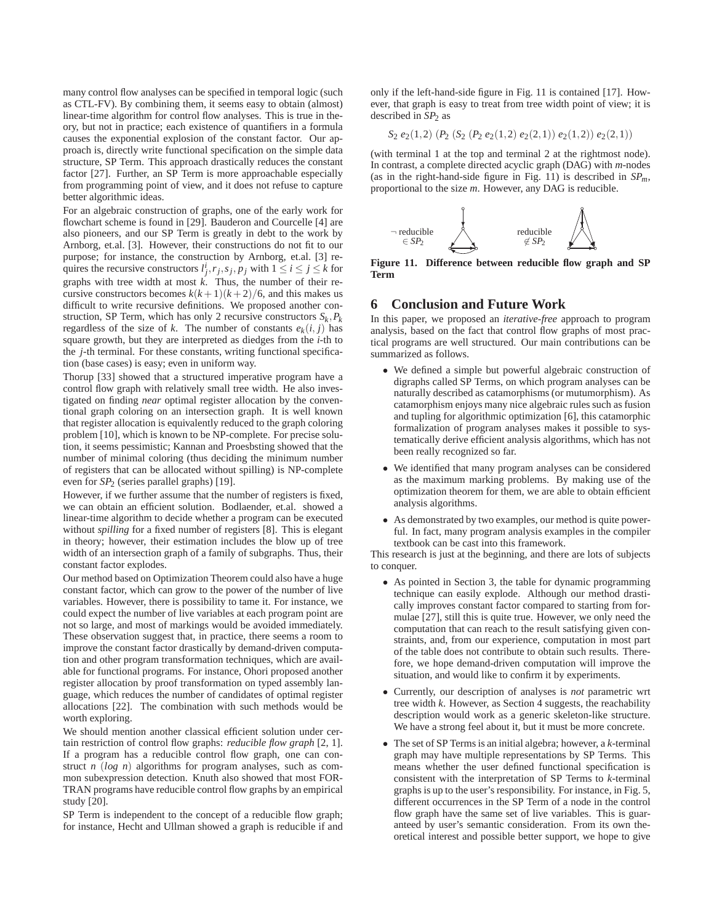many control flow analyses can be specified in temporal logic (such as CTL-FV). By combining them, it seems easy to obtain (almost) linear-time algorithm for control flow analyses. This is true in theory, but not in practice; each existence of quantifiers in a formula causes the exponential explosion of the constant factor. Our approach is, directly write functional specification on the simple data structure, SP Term. This approach drastically reduces the constant factor [27]. Further, an SP Term is more approachable especially from programming point of view, and it does not refuse to capture better algorithmic ideas.

For an algebraic construction of graphs, one of the early work for flowchart scheme is found in [29]. Bauderon and Courcelle [4] are also pioneers, and our SP Term is greatly in debt to the work by Arnborg, et.al. [3]. However, their constructions do not fit to our purpose; for instance, the construction by Arnborg, et.al. [3] requires the recursive constructors  $l_j^i$ ,  $r_j$ ,  $s_j$ ,  $p_j$  with  $1 \le i \le j \le k$  for graphs with tree width at most *k*. Thus, the number of their recursive constructors becomes  $k(k+1)(k+2)/6$ , and this makes us difficult to write recursive definitions. We proposed another construction, SP Term, which has only 2 recursive constructors  $S_k$ ,  $P_k$ regardless of the size of *k*. The number of constants  $e_k(i, j)$  has square growth, but they are interpreted as diedges from the *i*-th to the *j*-th terminal. For these constants, writing functional specification (base cases) is easy; even in uniform way.

Thorup [33] showed that a structured imperative program have a control flow graph with relatively small tree width. He also investigated on finding *near* optimal register allocation by the conventional graph coloring on an intersection graph. It is well known that register allocation is equivalently reduced to the graph coloring problem [10], which is known to be NP-complete. For precise solution, it seems pessimistic; Kannan and Proesbsting showed that the number of minimal coloring (thus deciding the minimum number of registers that can be allocated without spilling) is NP-complete even for *SP*<sup>2</sup> (series parallel graphs) [19].

However, if we further assume that the number of registers is fixed, we can obtain an efficient solution. Bodlaender, et.al. showed a linear-time algorithm to decide whether a program can be executed without *spilling* for a fixed number of registers [8]. This is elegant in theory; however, their estimation includes the blow up of tree width of an intersection graph of a family of subgraphs. Thus, their constant factor explodes.

Our method based on Optimization Theorem could also have a huge constant factor, which can grow to the power of the number of live variables. However, there is possibility to tame it. For instance, we could expect the number of live variables at each program point are not so large, and most of markings would be avoided immediately. These observation suggest that, in practice, there seems a room to improve the constant factor drastically by demand-driven computation and other program transformation techniques, which are available for functional programs. For instance, Ohori proposed another register allocation by proof transformation on typed assembly language, which reduces the number of candidates of optimal register allocations [22]. The combination with such methods would be worth exploring.

We should mention another classical efficient solution under certain restriction of control flow graphs: *reducible flow graph* [2, 1]. If a program has a reducible control flow graph, one can construct *n* (*log n*) algorithms for program analyses, such as common subexpression detection. Knuth also showed that most FOR-TRAN programs have reducible control flow graphs by an empirical study [20].

SP Term is independent to the concept of a reducible flow graph; for instance, Hecht and Ullman showed a graph is reducible if and

only if the left-hand-side figure in Fig. 11 is contained [17]. However, that graph is easy to treat from tree width point of view; it is described in  $SP<sub>2</sub>$  as

$$
S_2 e_2(1,2) (P_2 (S_2 (P_2 e_2(1,2) e_2(2,1)) e_2(1,2)) e_2(2,1))
$$

(with terminal 1 at the top and terminal 2 at the rightmost node). In contrast, a complete directed acyclic graph (DAG) with *m*-nodes (as in the right-hand-side figure in Fig. 11) is described in  $SP_m$ , proportional to the size *m*. However, any DAG is reducible.



**Figure 11. Difference between reducible flow graph and SP Term**

#### **6 Conclusion and Future Work**

In this paper, we proposed an *iterative-free* approach to program analysis, based on the fact that control flow graphs of most practical programs are well structured. Our main contributions can be summarized as follows.

- We defined a simple but powerful algebraic construction of digraphs called SP Terms, on which program analyses can be naturally described as catamorphisms (or mutumorphism). As catamorphism enjoys many nice algebraic rules such as fusion and tupling for algorithmic optimization [6], this catamorphic formalization of program analyses makes it possible to systematically derive efficient analysis algorithms, which has not been really recognized so far.
- We identified that many program analyses can be considered as the maximum marking problems. By making use of the optimization theorem for them, we are able to obtain efficient analysis algorithms.
- As demonstrated by two examples, our method is quite powerful. In fact, many program analysis examples in the compiler textbook can be cast into this framework.

This research is just at the beginning, and there are lots of subjects to conquer.

- As pointed in Section 3, the table for dynamic programming technique can easily explode. Although our method drastically improves constant factor compared to starting from formulae [27], still this is quite true. However, we only need the computation that can reach to the result satisfying given constraints, and, from our experience, computation in most part of the table does not contribute to obtain such results. Therefore, we hope demand-driven computation will improve the situation, and would like to confirm it by experiments.
- Currently, our description of analyses is *not* parametric wrt tree width *k*. However, as Section 4 suggests, the reachability description would work as a generic skeleton-like structure. We have a strong feel about it, but it must be more concrete.
- The set of SP Terms is an initial algebra; however, a *k*-terminal graph may have multiple representations by SP Terms. This means whether the user defined functional specification is consistent with the interpretation of SP Terms to *k*-terminal graphs is up to the user's responsibility. For instance, in Fig. 5, different occurrences in the SP Term of a node in the control flow graph have the same set of live variables. This is guaranteed by user's semantic consideration. From its own theoretical interest and possible better support, we hope to give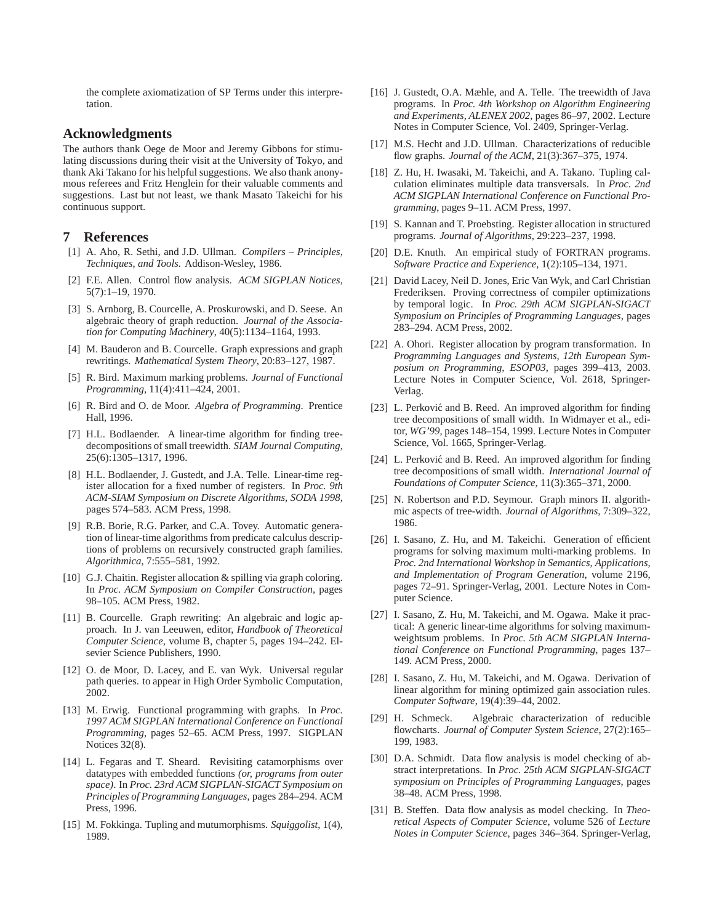the complete axiomatization of SP Terms under this interpretation.

### **Acknowledgments**

The authors thank Oege de Moor and Jeremy Gibbons for stimulating discussions during their visit at the University of Tokyo, and thank Aki Takano for his helpful suggestions. We also thank anonymous referees and Fritz Henglein for their valuable comments and suggestions. Last but not least, we thank Masato Takeichi for his continuous support.

## **7 References**

- [1] A. Aho, R. Sethi, and J.D. Ullman. *Compilers Principles, Techniques, and Tools*. Addison-Wesley, 1986.
- [2] F.E. Allen. Control flow analysis. *ACM SIGPLAN Notices*, 5(7):1–19, 1970.
- [3] S. Arnborg, B. Courcelle, A. Proskurowski, and D. Seese. An algebraic theory of graph reduction. *Journal of the Association for Computing Machinery*, 40(5):1134–1164, 1993.
- [4] M. Bauderon and B. Courcelle. Graph expressions and graph rewritings. *Mathematical System Theory*, 20:83–127, 1987.
- [5] R. Bird. Maximum marking problems. *Journal of Functional Programming*, 11(4):411–424, 2001.
- [6] R. Bird and O. de Moor. *Algebra of Programming*. Prentice Hall, 1996.
- [7] H.L. Bodlaender. A linear-time algorithm for finding treedecompositions of small treewidth. *SIAM Journal Computing*, 25(6):1305–1317, 1996.
- [8] H.L. Bodlaender, J. Gustedt, and J.A. Telle. Linear-time register allocation for a fixed number of registers. In *Proc. 9th ACM-SIAM Symposium on Discrete Algorithms, SODA 1998*, pages 574–583. ACM Press, 1998.
- [9] R.B. Borie, R.G. Parker, and C.A. Tovey. Automatic generation of linear-time algorithms from predicate calculus descriptions of problems on recursively constructed graph families. *Algorithmica*, 7:555–581, 1992.
- [10] G.J. Chaitin. Register allocation & spilling via graph coloring. In *Proc. ACM Symposium on Compiler Construction*, pages 98–105. ACM Press, 1982.
- [11] B. Courcelle. Graph rewriting: An algebraic and logic approach. In J. van Leeuwen, editor, *Handbook of Theoretical Computer Science*, volume B, chapter 5, pages 194–242. Elsevier Science Publishers, 1990.
- [12] O. de Moor, D. Lacey, and E. van Wyk. Universal regular path queries. to appear in High Order Symbolic Computation, 2002.
- [13] M. Erwig. Functional programming with graphs. In *Proc. 1997 ACM SIGPLAN International Conference on Functional Programming*, pages 52–65. ACM Press, 1997. SIGPLAN Notices 32(8).
- [14] L. Fegaras and T. Sheard. Revisiting catamorphisms over datatypes with embedded functions *(or, programs from outer space)*. In *Proc. 23rd ACM SIGPLAN-SIGACT Symposium on Principles of Programming Languages*, pages 284–294. ACM Press, 1996.
- [15] M. Fokkinga. Tupling and mutumorphisms. *Squiggolist*, 1(4), 1989.
- [16] J. Gustedt, O.A. Mæhle, and A. Telle. The treewidth of Java programs. In *Proc. 4th Workshop on Algorithm Engineering and Experiments, ALENEX 2002*, pages 86–97, 2002. Lecture Notes in Computer Science, Vol. 2409, Springer-Verlag.
- [17] M.S. Hecht and J.D. Ullman. Characterizations of reducible flow graphs. *Journal of the ACM*, 21(3):367–375, 1974.
- [18] Z. Hu, H. Iwasaki, M. Takeichi, and A. Takano. Tupling calculation eliminates multiple data transversals. In *Proc. 2nd ACM SIGPLAN International Conference on Functional Programming*, pages 9–11. ACM Press, 1997.
- [19] S. Kannan and T. Proebsting. Register allocation in structured programs. *Journal of Algorithms*, 29:223–237, 1998.
- [20] D.E. Knuth. An empirical study of FORTRAN programs. *Software Practice and Experience*, 1(2):105–134, 1971.
- [21] David Lacey, Neil D. Jones, Eric Van Wyk, and Carl Christian Frederiksen. Proving correctness of compiler optimizations by temporal logic. In *Proc. 29th ACM SIGPLAN-SIGACT Symposium on Principles of Programming Languages*, pages 283–294. ACM Press, 2002.
- [22] A. Ohori. Register allocation by program transformation. In *Programming Languages and Systems, 12th European Symposium on Programming, ESOP03*, pages 399–413, 2003. Lecture Notes in Computer Science, Vol. 2618, Springer-Verlag.
- [23] L. Perković and B. Reed. An improved algorithm for finding tree decompositions of small width. In Widmayer et al., editor, *WG'99*, pages 148–154, 1999. Lecture Notes in Computer Science, Vol. 1665, Springer-Verlag.
- [24] L. Perković and B. Reed. An improved algorithm for finding tree decompositions of small width. *International Journal of Foundations of Computer Science*, 11(3):365–371, 2000.
- [25] N. Robertson and P.D. Seymour. Graph minors II. algorithmic aspects of tree-width. *Journal of Algorithms*, 7:309–322, 1986.
- [26] I. Sasano, Z. Hu, and M. Takeichi. Generation of efficient programs for solving maximum multi-marking problems. In *Proc. 2nd International Workshop in Semantics, Applications, and Implementation of Program Generation*, volume 2196, pages 72–91. Springer-Verlag, 2001. Lecture Notes in Computer Science.
- [27] I. Sasano, Z. Hu, M. Takeichi, and M. Ogawa. Make it practical: A generic linear-time algorithms for solving maximumweightsum problems. In *Proc. 5th ACM SIGPLAN International Conference on Functional Programming*, pages 137– 149. ACM Press, 2000.
- [28] I. Sasano, Z. Hu, M. Takeichi, and M. Ogawa. Derivation of linear algorithm for mining optimized gain association rules. *Computer Software*, 19(4):39–44, 2002.
- [29] H. Schmeck. Algebraic characterization of reducible flowcharts. *Journal of Computer System Science*, 27(2):165– 199, 1983.
- [30] D.A. Schmidt. Data flow analysis is model checking of abstract interpretations. In *Proc. 25th ACM SIGPLAN-SIGACT symposium on Principles of Programming Languages*, pages 38–48. ACM Press, 1998.
- [31] B. Steffen. Data flow analysis as model checking. In *Theoretical Aspects of Computer Science*, volume 526 of *Lecture Notes in Computer Science*, pages 346–364. Springer-Verlag,